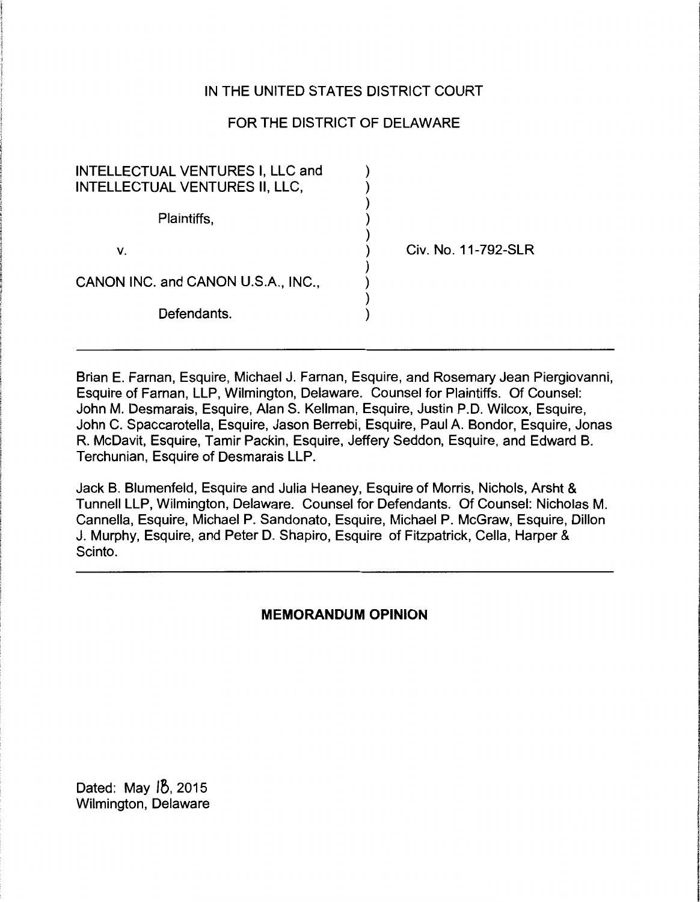# IN THE UNITED STATES DISTRICT COURT

# FOR THE DISTRICT OF DELAWARE

| INTELLECTUAL VENTURES I, LLC and<br>INTELLECTUAL VENTURES II, LLC, |                     |
|--------------------------------------------------------------------|---------------------|
| Plaintiffs,                                                        |                     |
| v.                                                                 | Civ. No. 11-792-SLR |
| CANON INC. and CANON U.S.A., INC.,                                 |                     |
| Defendants.                                                        |                     |

Brian E. Farnan, Esquire, Michael J. Farnan, Esquire, and Rosemary Jean Piergiovanni, Esquire of Farnan, LLP, Wilmington, Delaware. Counsel for Plaintiffs. Of Counsel: John M. Desmarais, Esquire, Alan S. Kellman, Esquire, Justin P.D. Wilcox, Esquire, John C. Spaccarotella, Esquire, Jason Berrebi, Esquire, Paul A. Bondor, Esquire, Jonas R. McDavit, Esquire, Tamir Packin, Esquire, Jeffery Seddon, Esquire, and Edward B. Terchunian, Esquire of Desmarais LLP.

Jack B. Blumenfeld, Esquire and Julia Heaney, Esquire of Morris, Nichols, Arsht & Tunnell LLP, Wilmington, Delaware. Counsel for Defendants. Of Counsel: Nicholas M. Cannella, Esquire, Michael P. Sandonato, Esquire, Michael P. McGraw, Esquire, Dillon J. Murphy, Esquire, and Peter D. Shapiro, Esquire of Fitzpatrick, Cella, Harper & Scinto.

# **MEMORANDUM OPINION**

Dated: May 18, 2015 Wilmington, Delaware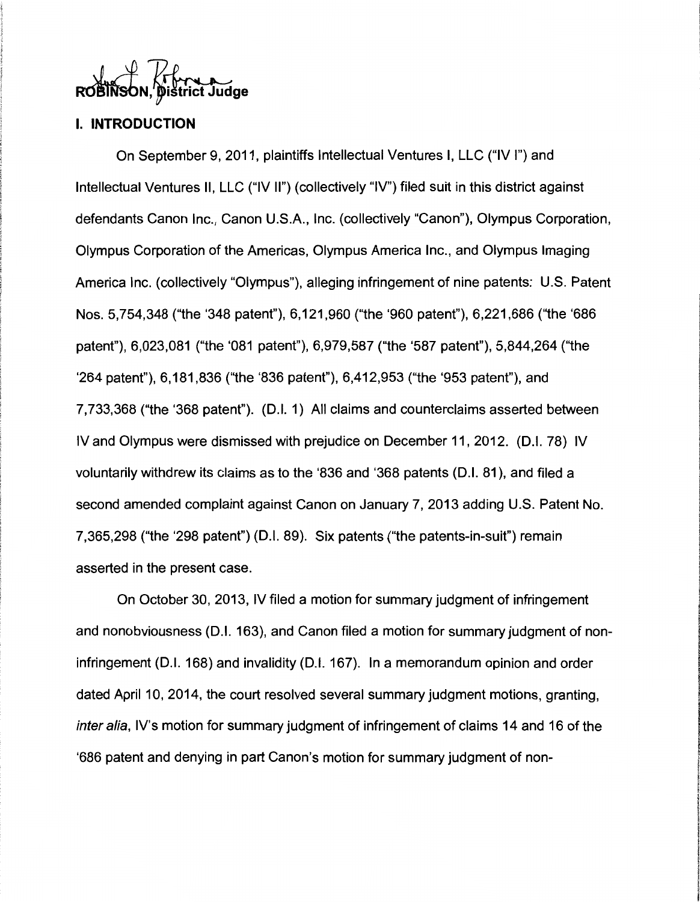# **Dištrict Judge**

# I. **INTRODUCTION**

On September 9, 2011, plaintiffs Intellectual Ventures I, LLC ("IV I") and Intellectual Ventures II, LLC ("IV II") (collectively "IV") filed suit in this district against defendants Canon Inc., Canon U.S.A., Inc. (collectively "Canon"), Olympus Corporation, Olympus Corporation of the Americas, Olympus America Inc., and Olympus Imaging America Inc. (collectively "Olympus"), alleging infringement of nine patents: U.S. Patent Nos. 5,754,348 ("the '348 patent"), 6, 121,960 ("the '960 patent"), 6,221,686 ("the '686 patent"), 6,023,081 ("the '081 patent"), 6,979,587 ("the '587 patent"), 5,844,264 ("the '264 patent"), 6, 181,836 ("the '836 patent"), 6,412,953 ("the '953 patent"), and 7,733,368 ("the '368 patent"). (D.I. 1) All claims and counterclaims asserted between IV and Olympus were dismissed with prejudice on December 11, 2012. (D.I. 78) IV voluntarily withdrew its claims as to the '836 and '368 patents (D.I. 81 ), and filed a second amended complaint against Canon on January 7, 2013 adding U.S. Patent No. 7,365,298 ("the '298 patent") (D.I. 89). Six patents ("the patents-in-suit") remain asserted in the present case.

On October 30, 2013, IV filed a motion for summary judgment of infringement and nonobviousness (D.I. 163), and Canon filed a motion for summary judgment of noninfringement (D.I. 168) and invalidity (D.I. 167). In a memorandum opinion and order dated April 10, 2014, the court resolved several summary judgment motions, granting, inter alia, IV's motion for summary judgment of infringement of claims 14 and 16 of the '686 patent and denying in part Canon's motion for summary judgment of non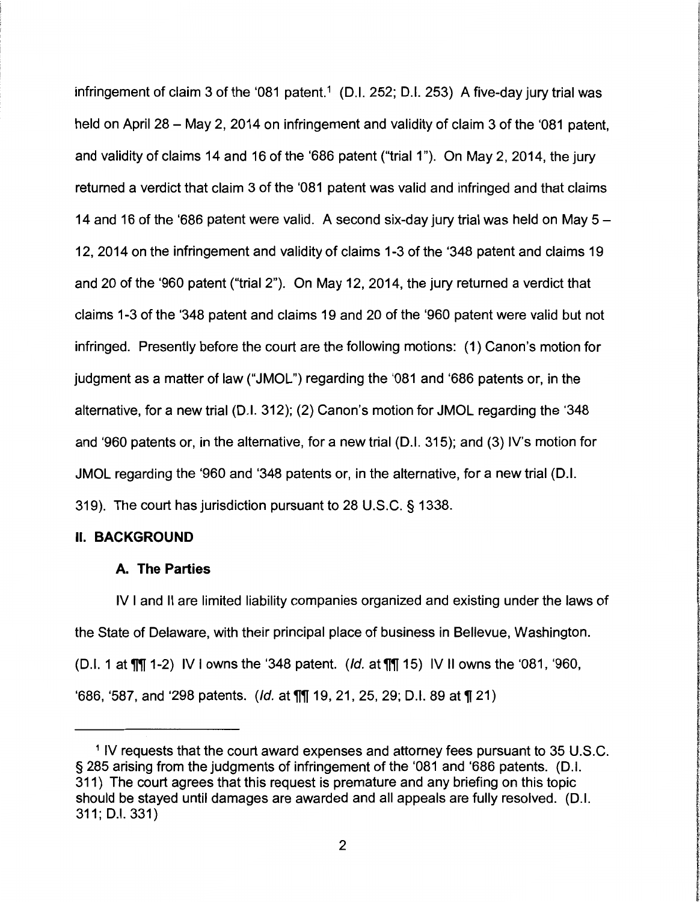infringement of claim 3 of the '081 patent.<sup>1</sup> (D.I. 252; D.I. 253) A five-day jury trial was held on April 28 – May 2, 2014 on infringement and validity of claim 3 of the '081 patent, and validity of claims 14 and 16 of the '686 patent ("trial 1"). On May 2, 2014, the jury returned a verdict that claim 3 of the '081 patent was valid and infringed and that claims 14 and 16 of the '686 patent were valid. A second six-day jury trial was held on May  $5 -$ 12, 2014 on the infringement and validity of claims 1-3 of the '348 patent and claims 19 and 20 of the '960 patent ("trial 2"). On May 12, 2014, the jury returned a verdict that claims 1-3 of the '348 patent and claims 19 and 20 of the '960 patent were valid but not infringed. Presently before the court are the following motions: (1) Canon's motion for judgment as a matter of law ("JMOL") regarding the '081 and '686 patents or, in the alternative, for a new trial (D.I. 312); (2) Canon's motion for JMOL regarding the '348 and '960 patents or, in the alternative, for a new trial (D.I. 315); and (3) IV's motion for JMOL regarding the '960 and '348 patents or, in the alternative, for a new trial (D.I. 319). The court has jurisdiction pursuant to 28 U.S.C. § 1338.

#### II. **BACKGROUND**

#### **A. The Parties**

IV I and II are limited liability companies organized and existing under the laws of the State of Delaware, with their principal place of business in Bellevue, Washington. (D.I. 1 at  $\P\P$  1-2) IV I owns the '348 patent. (*Id.* at  $\P\P$  15) IV II owns the '081, '960, '686, '587, and '298 patents. (*Id.* at  $\P$ \, 19, 21, 25, 29; D.I. 89 at  $\P$  21)

<sup>1</sup> IV requests that the court award expenses and attorney fees pursuant to 35 U.S.C. § 285 arising from the judgments of infringement of the '081 and '686 patents. (D.I. 311) The court agrees that this request is premature and any briefing on this topic should be stayed until damages are awarded and all appeals are fully resolved. (D.I. 311; D.I. 331)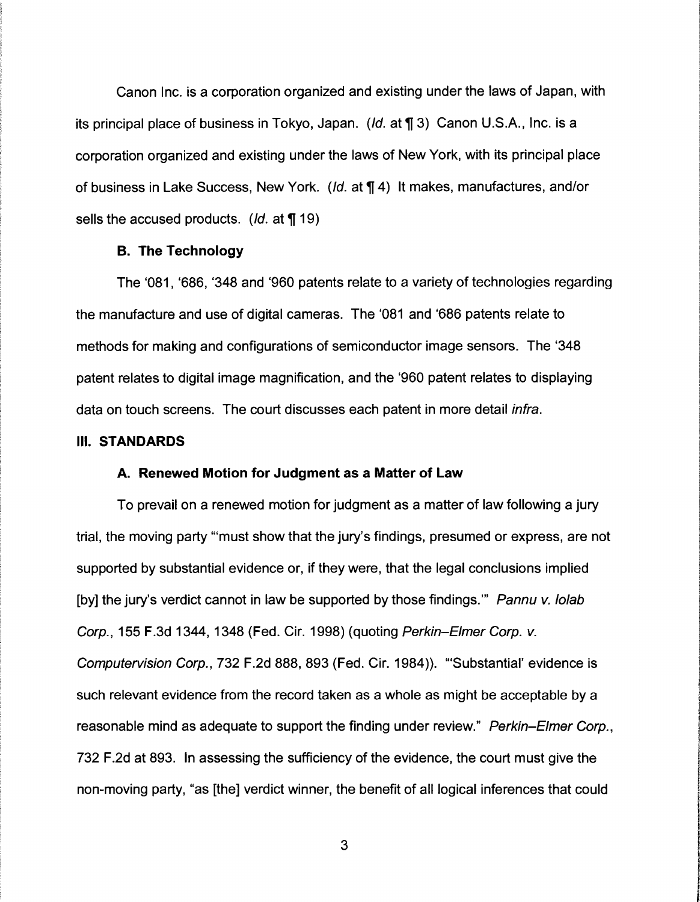Canon Inc. is a corporation organized and existing under the laws of Japan, with its principal place of business in Tokyo, Japan. ( $Id$ . at  $\P$  3) Canon U.S.A., Inc. is a corporation organized and existing under the laws of New York, with its principal place of business in Lake Success, New York. (Id. at  $\P$  4) It makes, manufactures, and/or sells the accused products. (*ld.* at  $\P$  19)

## **B. The Technology**

The '081, '686, '348 and '960 patents relate to a variety of technologies regarding the manufacture and use of digital cameras. The '081 and '686 patents relate to methods for making and configurations of semiconductor image sensors. The '348 patent relates to digital image magnification, and the '960 patent relates to displaying data on touch screens. The court discusses each patent in more detail *infra*.

## Ill. **STANDARDS**

#### **A. Renewed Motion for Judgment as a Matter of Law**

To prevail on a renewed motion for judgment as a matter of law following a jury trial, the moving party '"must show that the jury's findings, presumed or express, are not supported by substantial evidence or, if they were, that the legal conclusions implied [by] the jury's verdict cannot in law be supported by those findings." Pannu v. lolab Corp., 155 F.3d 1344, 1348 (Fed. Cir. 1998) (quoting Perkin-Elmer Corp. v. Computervision Corp., 732 F.2d 888, 893 (Fed. Cir. 1984)). "'Substantial' evidence is such relevant evidence from the record taken as a whole as might be acceptable by a reasonable mind as adequate to support the finding under review." Perkin–Elmer Corp., 732 F.2d at 893. In assessing the sufficiency of the evidence, the court must give the non-moving party, "as [the] verdict winner, the benefit of all logical inferences that could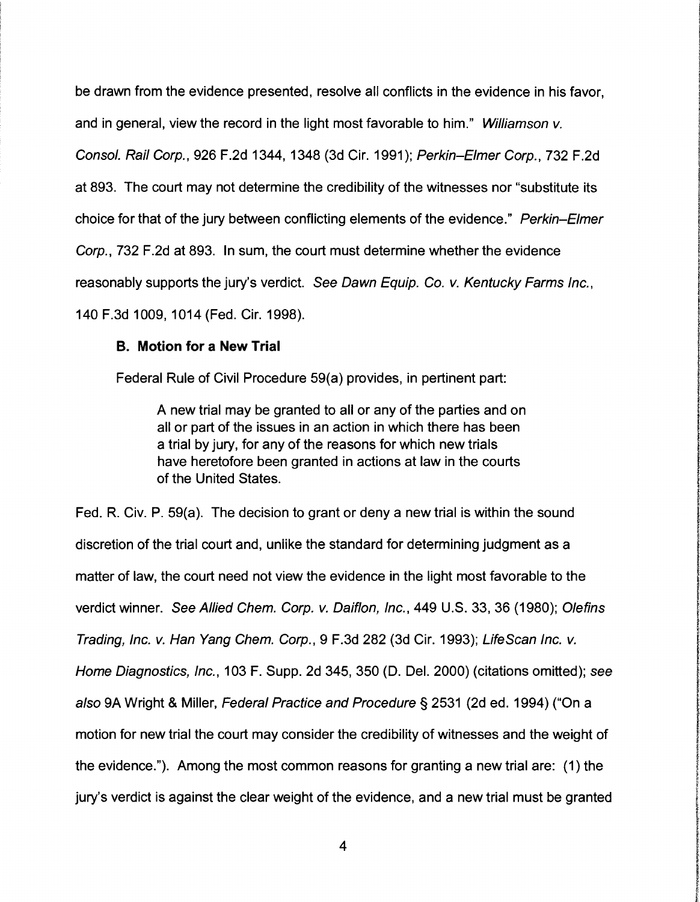be drawn from the evidence presented, resolve all conflicts in the evidence in his favor, and in general, view the record in the light most favorable to him." Williamson v. Consol. Rail Corp., 926 F.2d 1344, 1348 (3d Cir. 1991); Perkin-Elmer Corp., 732 F.2d at 893. The court may not determine the credibility of the witnesses nor "substitute its choice for that of the jury between conflicting elements of the evidence." Perkin-Elmer Corp., 732 F.2d at 893. In sum, the court must determine whether the evidence reasonably supports the jury's verdict. See Dawn Equip. Co. v. Kentucky Farms Inc., 140 F.3d 1009, 1014 (Fed. Cir. 1998).

**INSTRUCT International Science** ! **IN WEST CONTROL** 

The Contract of Chances

**International State** l **international** f

In Additional Communication of the State Communication

**INSTRUCTION for the course** 

*<u>Francisco</u>* **ENGINEERING** international property i

**International Accountance** *<i><u>Property</u>* the analysis of the con-

**ICAMULACIÓN CONTENTINAL** 

**Indiana and China and China and China** 

**We are the first factor of the company of the company of the company of the company of the company of the company of the company of the company of the company of the company of the company of the company of the company of In comments of the** 

I vermal finance of the spiritual of contract of the behavior of a state

~ **Windows** 

**include the Section** 

# **B. Motion for a New Trial**

Federal Rule of Civil Procedure 59(a) provides, in pertinent part:

A new trial may be granted to all or any of the parties and on all or part of the issues in an action in which there has been a trial by jury, for any of the reasons for which new trials have heretofore been granted in actions at law in the courts of the United States.

Fed. R. Civ. P. 59(a). The decision to grant or deny a new trial is within the sound discretion of the trial court and, unlike the standard for determining judgment as a matter of law, the court need not view the evidence in the light most favorable to the verdict winner. See Allied Chem. Corp. v. Daiflon, Inc., 449 U.S. 33, 36 (1980); Olefins Trading, Inc. v. Han Yang Chem. Corp., 9 F.3d 282 (3d Cir. 1993); LifeScan Inc. v. Home Diagnostics, Inc., 103 F. Supp. 2d 345, 350 (D. Del. 2000) (citations omitted); see also 9A Wright & Miller, Federal Practice and Procedure§ 2531 (2d ed. 1994) ("On a motion for new trial the court may consider the credibility of witnesses and the weight of the evidence."). Among the most common reasons for granting a new trial are: (1) the jury's verdict is against the clear weight of the evidence, and a new trial must be granted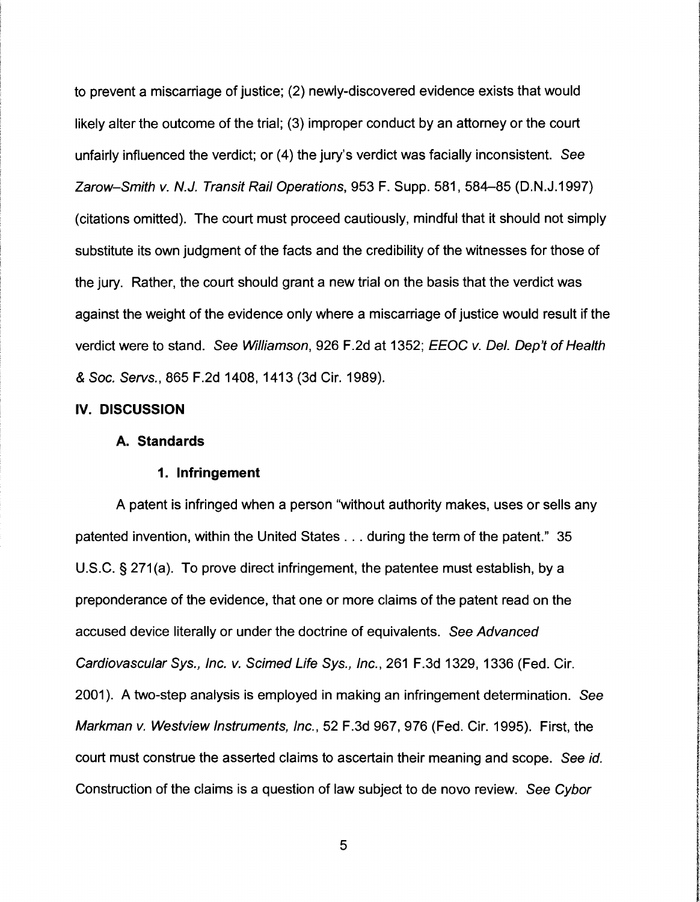to prevent a miscarriage of justice; (2) newly-discovered evidence exists that would likely alter the outcome of the trial; (3) improper conduct by an attorney or the court unfairly influenced the verdict; or (4) the jury's verdict was facially inconsistent. See Zarow-Smith v. N.J. Transit Rail Operations, 953 F. Supp. 581, 584-85 (D.N.J.1997) (citations omitted). The court must proceed cautiously, mindful that it should not simply substitute its own judgment of the facts and the credibility of the witnesses for those of the jury. Rather, the court should grant a new trial on the basis that the verdict was against the weight of the evidence only where a miscarriage of justice would result if the verdict were to stand. See Williamson, 926 F .2d at 1352; EEOC v. Del. Dep't of Health & Soc. Servs., 865 F.2d 1408, 1413 (3d Cir. 1989).

#### IV. **DISCUSSION**

#### **A. Standards**

## **1. Infringement**

A patent is infringed when a person "without authority makes, uses or sells any patented invention, within the United States ... during the term of the patent." 35 U.S.C. § 271(a). To prove direct infringement, the patentee must establish, by a preponderance of the evidence, that one or more claims of the patent read on the accused device literally or under the doctrine of equivalents. See Advanced Cardiovascular Sys., Inc. v. Scimed Life Sys., Inc., 261 F.3d 1329, 1336 (Fed. Cir. 2001). A two-step analysis is employed in making an infringement determination. See Markman v. Westview Instruments, Inc., 52 F.3d 967, 976 (Fed. Cir. 1995). First, the court must construe the asserted claims to ascertain their meaning and scope. See id. Construction of the claims is a question of law subject to de novo review. See Cybor

**Individual INVESTIGATION P. Microsoft** '

In the Management of the Second Second Second Second Second Second Second Second Second Second Second Second S

I i f t **International Action** I **Inchescover** likelist in **Warrent Historica Distances** Mondate Approximation

**International Constitution International (Columna** !

**The Contract of Contract Contract Contract of Contract Contract of Contract Of Contract Of Contract Of Contract Of Contract Of Contract Of Contract Of Contract Of Contract Of Contract Of Contract Of Contract Of Contract O** ~

**Inconditions** 

IS/2012/06/06 2018/06/06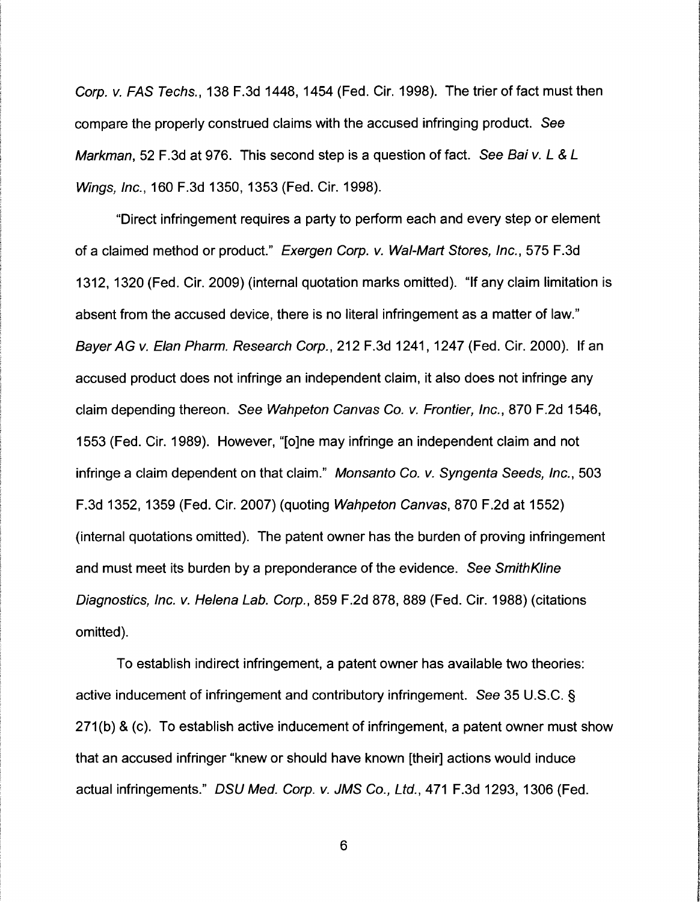Corp. v. FAS Techs., 138 F.3d 1448, 1454 (Fed. Cir. 1998). The trier of fact must then compare the properly construed claims with the accused infringing product. See Markman, 52 F.3d at 976. This second step is a question of fact. See Bai v. L & L Wings, Inc., 160 F.3d 1350, 1353 (Fed. Cir. 1998).

"Direct infringement requires a party to perform each and every step or element of a claimed method or product." Exergen Corp. v. Wal-Mart Stores, Inc., 575 F.3d 1312, 1320 (Fed. Cir. 2009) (internal quotation marks omitted). "If any claim limitation is absent from the accused device, there is no literal infringement as a matter of law." Bayer AG v. Elan Pharm. Research Corp., 212 F.3d 1241, 1247 (Fed. Cir. 2000). If an accused product does not infringe an independent claim, it also does not infringe any claim depending thereon. See Wahpeton Canvas Co. v. Frontier, Inc., 870 F.2d 1546, 1553 (Fed. Cir. 1989). However, "[o]ne may infringe an independent claim and not infringe a claim dependent on that claim." Monsanto Co. v. Syngenta Seeds, Inc., 503 F.3d 1352, 1359 (Fed. Cir. 2007) (quoting Wahpeton Canvas, 870 F.2d at 1552) (internal quotations omitted). The patent owner has the burden of proving infringement and must meet its burden by a preponderance of the evidence. See Smith Kline Diagnostics, Inc. v. Helena Lab. Corp., 859 F.2d 878, 889 (Fed. Cir. 1988) (citations omitted).

To establish indirect infringement, a patent owner has available two theories: active inducement of infringement and contributory infringement. See 35 U.S.C. § 271(b) & (c). To establish active inducement of infringement, a patent owner must show that an accused infringer "knew or should have known [their] actions would induce actual infringements." DSU Med. Corp. v. JMS Co., Ltd., 471 F.3d 1293, 1306 (Fed.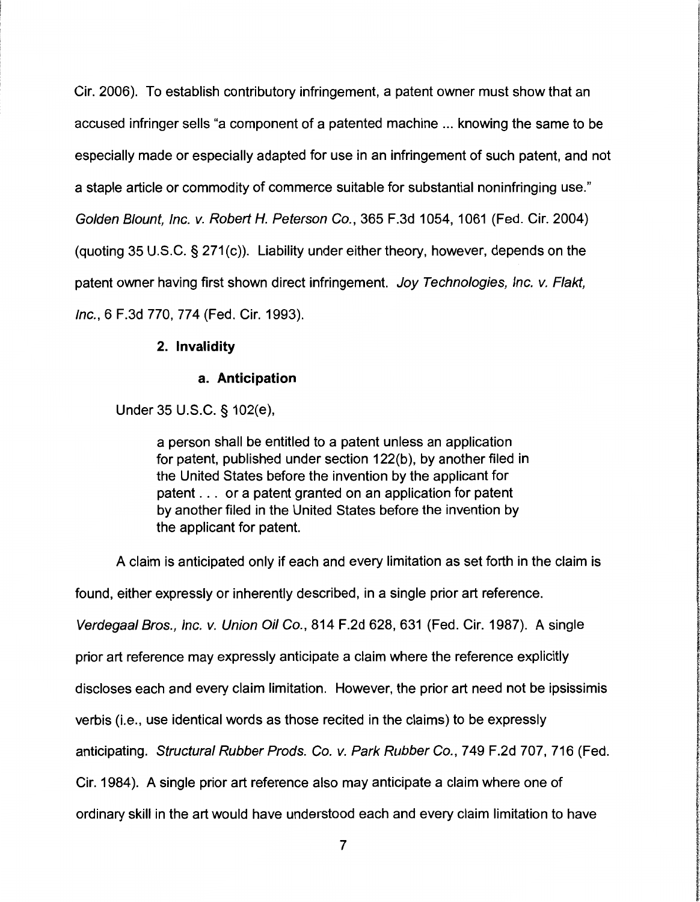Cir. 2006). To establish contributory infringement, a patent owner must show that an accused infringer sells "a component of a patented machine ... knowing the same to be especially made or especially adapted for use in an infringement of such patent, and not a staple article or commodity of commerce suitable for substantial noninfringing use." Golden Blount, Inc. v. Robert *H.* Peterson Co., 365 F.3d 1054, 1061 (Fed. Cir. 2004) (quoting 35 U.S.C.  $\S 271(c)$ ). Liability under either theory, however, depends on the patent owner having first shown direct infringement. Joy Technologies, Inc. v. Flakt, Inc., 6 F.3d 770, 774 (Fed. Cir. 1993).

## **2. Invalidity**

## **a. Anticipation**

Under 35 U.S.C. § 102(e),

a person shall be entitled to a patent unless an application for patent, published under section 122(b), by another filed in the United States before the invention by the applicant for patent . . . or a patent granted on an application for patent by another filed in the United States before the invention by the applicant for patent.

**Indexense** 

**In the company of the company of the company of the company of the company of the company of the company of th** 

, **ING CONSUMERS** 

A claim is anticipated only if each and every limitation as set forth in the claim is found, either expressly or inherently described, in a single prior art reference. Verdegaal Bros., Inc. v. Union Oil Co., 814 F.2d 628, 631 (Fed. Cir. 1987). A single prior art reference may expressly anticipate a claim where the reference explicitly discloses each and every claim limitation. However, the prior art need not be ipsissimis verbis (i.e., use identical words as those recited in the claims) to be expressly anticipating. Structural Rubber Prods. Co. v. Park Rubber Co., 749 F.2d 707, 716 (Fed. Cir. 1984 ). A single prior art reference also may anticipate a claim where one of ordinary skill in the art would have understood each and every claim limitation to have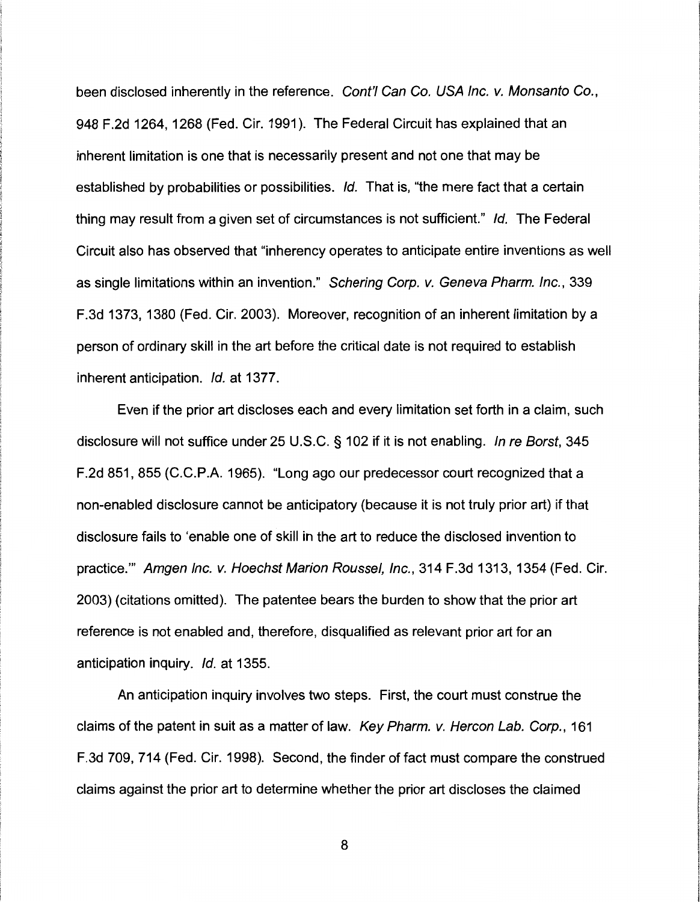been disclosed inherently in the reference. Cont'l Can Co. USA Inc. v. Monsanto Co., 948 F .2d 1264, 1268 (Fed. Cir. 1991 ). The Federal Circuit has explained that an inherent limitation is one that is necessarily present and not one that may be established by probabilities or possibilities. Id. That is, "the mere fact that a certain thing may result from a given set of circumstances is not sufficient." Id. The Federal Circuit also has observed that "inherency operates to anticipate entire inventions as well as single limitations within an invention." Schering Corp. v. Geneva Pharm. Inc., 339 F.3d 1373, 1380 (Fed. Cir. 2003). Moreover, recognition of an inherent limitation by a person of ordinary skill in the art before the critical date is not required to establish inherent anticipation. Id. at 1377.

Even if the prior art discloses each and every limitation set forth in a claim, such disclosure will not suffice under 25 U.S.C. § 102 if it is not enabling. In re Borst, 345 F.2d 851, 855 (C.C.P.A. 1965). "Long ago our predecessor court recognized that a non-enabled disclosure cannot be anticipatory (because it is not truly prior art) if that disclosure fails to 'enable one of skill in the art to reduce the disclosed invention to practice."' Amgen Inc. v. Hoechst Marion Roussel, Inc., 314 F.3d 1313, 1354 (Fed. Cir. 2003) (citations omitted). The patentee bears the burden to show that the prior art reference is not enabled and, therefore, disqualified as relevant prior art for an anticipation inquiry. Id. at 1355.

An anticipation inquiry involves two steps. First, the court must construe the claims of the patent in suit as a matter of law. Key Pharm. v. Hercon Lab. Corp., 161 F .3d 709, 714 (Fed. Cir. 1998). Second, the finder of fact must compare the construed claims against the prior art to determine whether the prior art discloses the claimed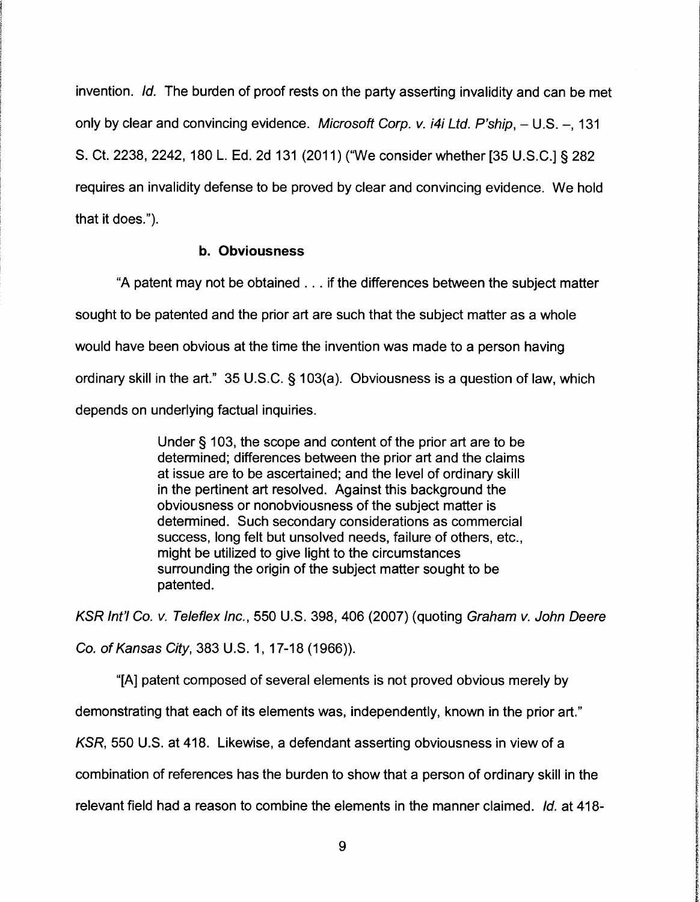invention. Id. The burden of proof rests on the party asserting invalidity and can be met only by clear and convincing evidence. Microsoft Corp. v.  $i4i$  Ltd. P'ship,  $- U.S. -$ , 131 S. Ct. 2238, 2242, 180 L. Ed. 2d 131 (2011) ("We consider whether [35 U.S.C.] § 282 requires an invalidity defense to be proved by clear and convincing evidence. We hold that it does.").

## **b. Obviousness**

"A patent may not be obtained ... if the differences between the subject matter sought to be patented and the prior art are such that the subject matter as a whole would have been obvious at the time the invention was made to a person having ordinary skill in the art." 35 U.S.C. § 103(a). Obviousness is a question of law, which depends on underlying factual inquiries.

> Under § 103, the scope and content of the prior art are to be determined; differences between the prior art and the claims at issue are to be ascertained; and the level of ordinary skill in the pertinent art resolved. Against this background the obviousness or nonobviousness of the subject matter is determined. Such secondary considerations as commercial success, long felt but unsolved needs, failure of others, etc., might be utilized to give light to the circumstances surrounding the origin of the subject matter sought to be patented.

KSR Int'/ Co. *v.* Teleflex Inc., 550 U.S. 398, 406 (2007) (quoting Graham *v.* John Deere Co. of Kansas City, 383 U.S. 1, 17-18 (1966)).

"[A] patent composed of several elements is not proved obvious merely by demonstrating that each of its elements was, independently, known in the prior art." KSR, 550 U.S. at 418. Likewise, a defendant asserting obviousness in view of a combination of references has the burden to show that a person of ordinary skill in the relevant field had a reason to combine the elements in the manner claimed. Id. at 418-

la Leon, Amerikaans

1 in the property of the

**INTERNATIONAL PROPERTY**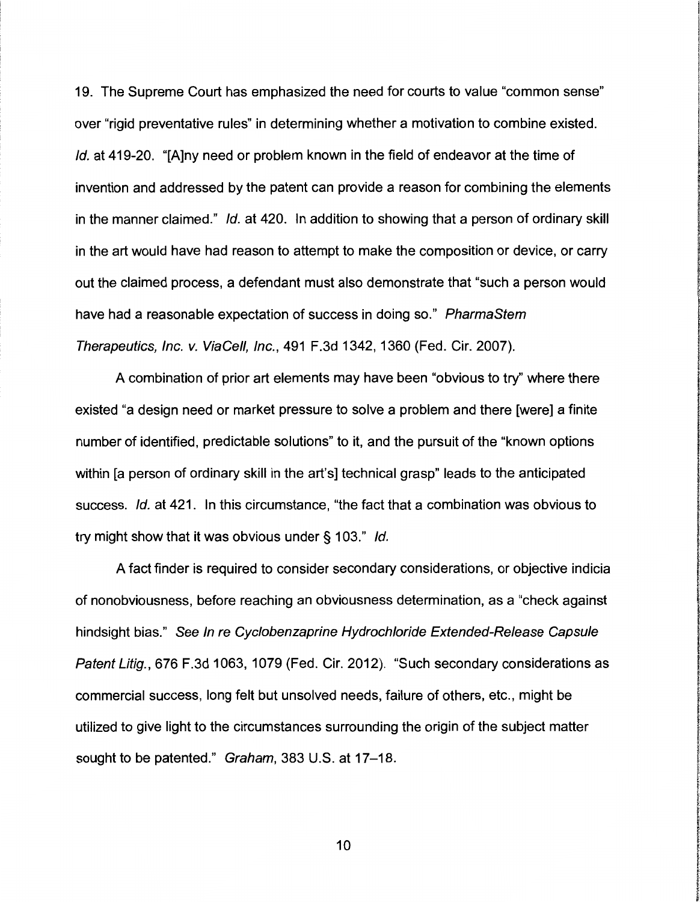19. The Supreme Court has emphasized the need for courts to value "common sense" over "rigid preventative rules" in determining whether a motivation to combine existed. Id. at 419-20. "[A]ny need or problem known in the field of endeavor at the time of invention and addressed by the patent can provide a reason for combining the elements in the manner claimed." Id. at 420. In addition to showing that a person of ordinary skill in the art would have had reason to attempt to make the composition or device, or carry out the claimed process, a defendant must also demonstrate that "such a person would have had a reasonable expectation of success in doing so." PharmaStem Therapeutics, Inc. v. ViaCel/, Inc., 491 F.3d 1342, 1360 (Fed. Cir. 2007).

A combination of prior art elements may have been "obvious to try" where there existed "a design need or market pressure to solve a problem and there [were] a finite number of identified, predictable solutions" to it, and the pursuit of the "known options within [a person of ordinary skill in the art's] technical grasp" leads to the anticipated success. Id. at 421. In this circumstance, "the fact that a combination was obvious to try might show that it was obvious under§ 103." Id.

A fact finder is required to consider secondary considerations, or objective indicia of nonobviousness, before reaching an obviousness determination, as a "check against hindsight bias." See In re Cyclobenzaprine Hydrochloride Extended-Release Capsule Patent Litig., 676 F.3d 1063, 1079 (Fed. Cir. 2012). "Such secondary considerations as commercial success, long felt but unsolved needs, failure of others, etc., might be utilized to give light to the circumstances surrounding the origin of the subject matter sought to be patented." Graham, 383 U.S. at 17-18.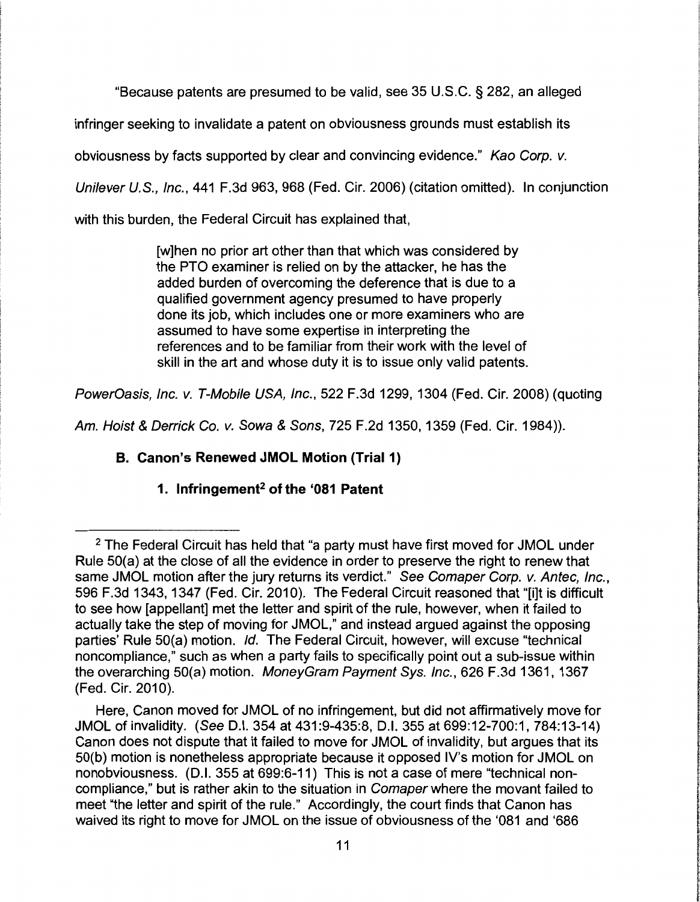"Because patents are presumed to be valid, see 35 U.S.C. § 282, an alleged

infringer seeking to invalidate a patent on obviousness grounds must establish its

obviousness by facts supported by clear and convincing evidence." Kao Corp. v.

Unilever U.S., Inc., 441 F.3d 963, 968 (Fed. Cir. 2006) (citation omitted). In conjunction

with this burden, the Federal Circuit has explained that,

[w]hen no prior art other than that which was considered by the PTO examiner is relied on by the attacker, he has the added burden of overcoming the deference that is due to a qualified government agency presumed to have properly done its job, which includes one or more examiners who are assumed to have some expertise in interpreting the references and to be familiar from their work with the level of skill in the art and whose duty it is to issue only valid patents.

PowerOasis, Inc. v. T-Mobile USA, Inc., 522 F.3d 1299, 1304 (Fed. Cir. 2008) (quoting

Am. Hoist & Derrick Co. v. Sowa & Sons, 725 F.2d 1350, 1359 (Fed. Cir. 1984)).

# **B. Canon's Renewed JMOL Motion (Trial 1)**

# **1. lnfringement2 of the '081 Patent**

<sup>&</sup>lt;sup>2</sup> The Federal Circuit has held that "a party must have first moved for JMOL under Rule 50(a) at the close of all the evidence in order to preserve the right to renew that same JMOL motion after the jury returns its verdict." See Comaper Corp. v. Antec, Inc., 596 F.3d 1343, 1347 (Fed. Cir. 2010). The Federal Circuit reasoned that "[i]t is difficult to see how [appellant] met the letter and spirit of the rule, however, when it failed to actually take the step of moving for JMOL," and instead argued against the opposing parties' Rule 50(a) motion. Id. The Federal Circuit, however, will excuse "technical noncompliance,'' such as when a party fails to specifically point out a sub-issue within the overarching 50(a) motion. MoneyGram Payment Sys. Inc., 626 F.3d 1361, 1367 (Fed. Cir. 2010).

Here, Canon moved for JMOL of no infringement, but did not affirmatively move for JMOL of invalidity. (See 0.1. 354 at 431 :9-435:8, 0.1. 355 at 699:12-700:1, 784:13-14) Canon does not dispute that it failed to move for JMOL of invalidity, but argues that its 50(b) motion is nonetheless appropriate because it opposed IV's motion for JMOL on nonobviousness. (0.1. 355 at 699:6-11) This is not a case of mere "technical noncompliance," but is rather akin to the situation in Comaper where the movant failed to meet "the letter and spirit of the rule." Accordingly, the court finds that Canon has waived its right to move for JMOL on the issue of obviousness of the '081 and '686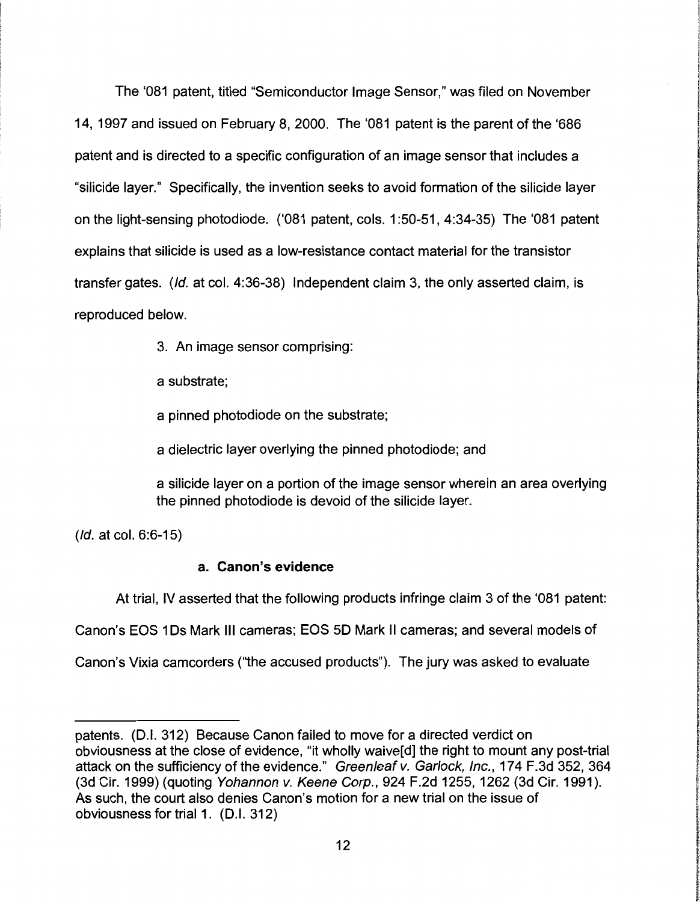The '081 patent, titled "Semiconductor Image Sensor," was filed on November 14, 1997 and issued on February 8, 2000. The '081 patent is the parent of the '686 patent and is directed to a specific configuration of an image sensor that includes a "silicide layer." Specifically, the invention seeks to avoid formation of the silicide layer on the light-sensing photodiode. ('081 patent, cols. 1 :50-51, 4:34-35) The '081 patent explains that silicide is used as a low-resistance contact material for the transistor transfer gates. (Id. at col. 4:36-38) Independent claim 3, the only asserted claim, is reproduced below.

3. An image sensor comprising:

a substrate;

a pinned photodiode on the substrate;

a dielectric layer overlying the pinned photodiode; and

a silicide layer on a portion of the image sensor wherein an area overlying the pinned photodiode is devoid of the silicide layer.

I

**the County of County** 

.<br>2010/01/2012 02:03:03:03:04

(Id. at col. 6:6-15)

# **a. Canon's evidence**

At trial, IV asserted that the following products infringe claim 3 of the '081 patent:

Canon's EOS 1 Ds Mark Ill cameras; EOS 50 Mark II cameras; and several models of

Canon's Vixia camcorders ("the accused products"). The jury was asked to evaluate

patents. (D.I. 312) Because Canon failed to move for a directed verdict on obviousness at the close of evidence, "it wholly waive[d] the right to mount any post-trial attack on the sufficiency of the evidence." Greenleaf v. Garlock, Inc., 174 F.3d 352, 364 (3d Cir. 1999) (quoting Yohannon v. Keene Corp., 924 F.2d 1255, 1262 (3d Cir. 1991). As such, the court also denies Canon's motion for a new trial on the issue of obviousness for trial 1. (D.I. 312)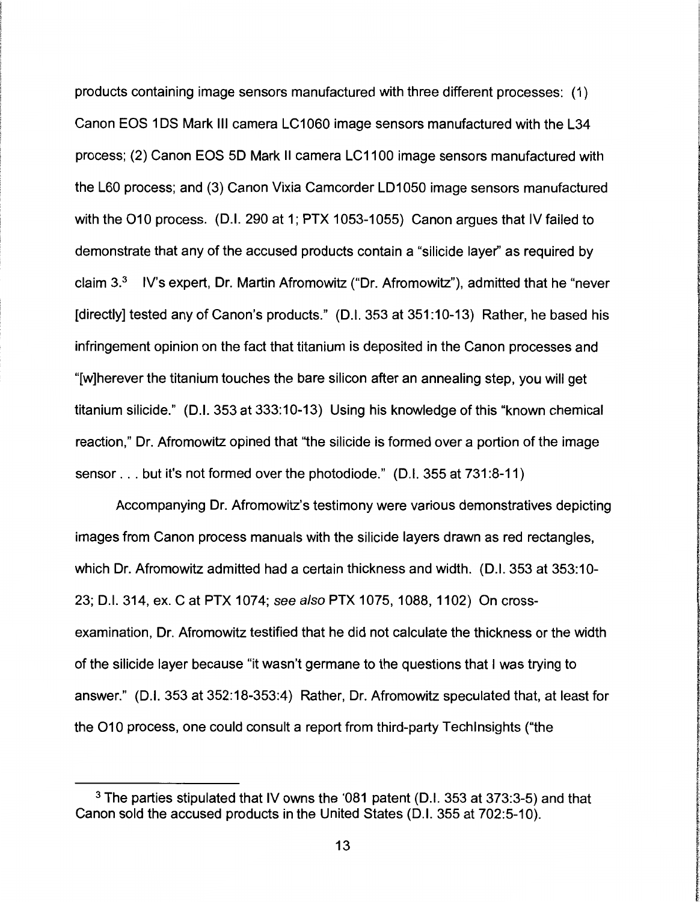products containing image sensors manufactured with three different processes: (1) Canon EOS 1 OS Mark Ill camera LC1060 image sensors manufactured with the L34 process; (2) Canon EOS 50 Mark II camera LC1100 image sensors manufactured with the L60 process; and (3) Canon Vixia Camcorder LD1050 image sensors manufactured with the 010 process. (D.I. 290 at 1; PTX 1053-1055) Canon argues that IV failed to demonstrate that any of the accused products contain a "silicide layer'' as required by claim  $3<sup>3</sup>$  IV's expert, Dr. Martin Afromowitz ("Dr. Afromowitz"), admitted that he "never [directly] tested any of Canon's products." (D.I. 353 at 351:10-13) Rather, he based his infringement opinion on the fact that titanium is deposited in the Canon processes and "[w]herever the titanium touches the bare silicon after an annealing step, you will get titanium silicide." (D.I. 353 at 333:10-13) Using his knowledge of this "known chemical reaction," Dr. Afromowitz opined that "the silicide is formed over a portion of the image sensor ... but it's not formed over the photodiode." (D.I. 355 at 731 :8-11)

Accompanying Dr. Afromowitz's testimony were various demonstratives depicting images from Canon process manuals with the silicide layers drawn as red rectangles, which Dr. Afromowitz admitted had a certain thickness and width. (D.I. 353 at 353:10- 23; D.I. 314, ex. C at PTX 1074; see also PTX 1075, 1088, 1102) On crossexamination, Dr. Afromowitz testified that he did not calculate the thickness or the width of the silicide layer because "it wasn't germane to the questions that I was trying to answer." (D.I. 353 at 352:18-353:4) Rather, Dr. Afromowitz speculated that, at least for the O10 process, one could consult a report from third-party Tech Insights ("the

<sup>3</sup>The parties stipulated that IV owns the '081 patent (D.I. 353 at 373:3-5) and that Canon sold the accused products in the United States (D.I. 355 at 702:5-10).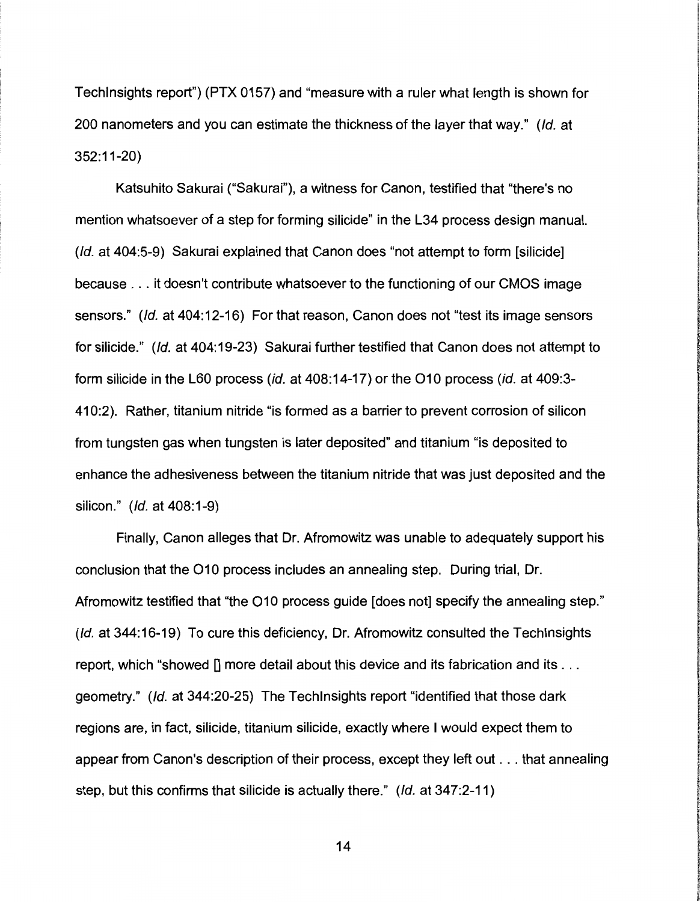Techlnsights report") (PTX 0157) and "measure with a ruler what length is shown for 200 nanometers and you can estimate the thickness of the layer that way." (Id. at 352:11-20)

Katsuhito Sakurai ("Sakurai"), a witness for Canon, testified that "there's no mention whatsoever of a step for forming silicide" in the L34 process design manual. (Id. at 404:5-9) Sakurai explained that Canon does "not attempt to form [silicide] because ... it doesn't contribute whatsoever to the functioning of our CMOS image sensors." (Id. at 404:12-16) For that reason, Canon does not "test its image sensors for silicide." (Id. at 404:19-23) Sakurai further testified that Canon does not attempt to form silicide in the L60 process (id. at 408:14-17) or the 010 process (id. at 409:3- 410:2). Rather, titanium nitride "is formed as a barrier to prevent corrosion of silicon from tungsten gas when tungsten is later deposited" and titanium "is deposited to enhance the adhesiveness between the titanium nitride that was just deposited and the silicon." (Id. at 408:1-9)

Finally, Canon alleges that Dr. Afromowitz was unable to adequately support his conclusion that the 010 process includes an annealing step. During trial, Dr. Afromowitz testified that "the 010 process guide [does not] specify the annealing step." (Id. at 344:16-19) To cure this deficiency, Dr. Afromowitz consulted the Techlnsights report, which "showed  $\prod$  more detail about this device and its fabrication and its ... geometry." (Id. at 344:20-25) The Techlnsights report "identified that those dark regions are, in fact, silicide, titanium silicide, exactly where I would expect them to appear from Canon's description of their process, except they left out ... that annealing step, but this confirms that silicide is actually there." (Id. at 347:2-11)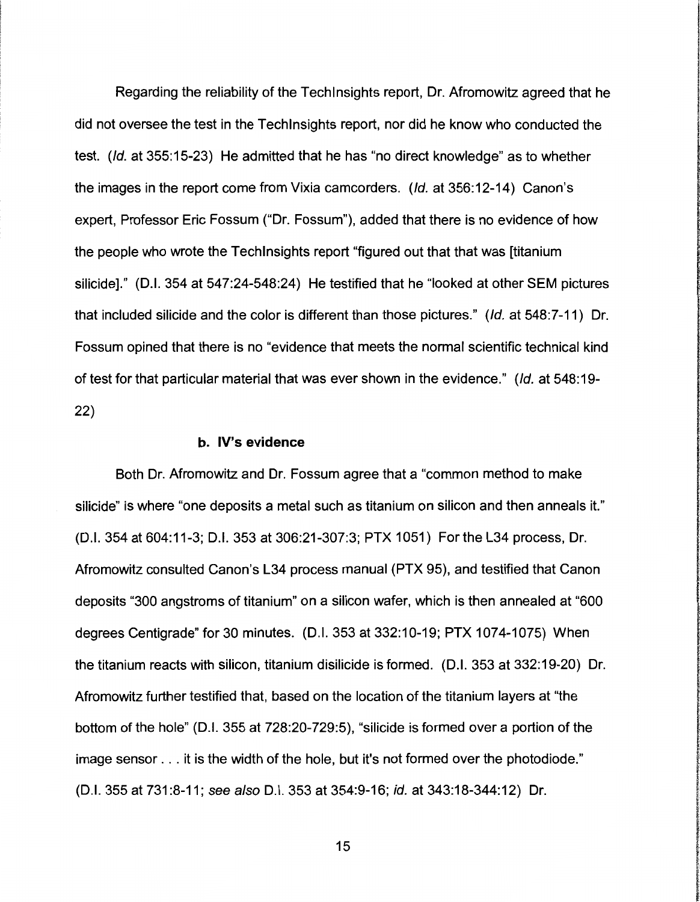Regarding the reliability of the Techlnsights report, Dr. Afromowitz agreed that he did not oversee the test in the Techlnsights report, nor did he know who conducted the test. (Id. at 355:15-23) He admitted that he has "no direct knowledge" as to whether the images in the report come from Vixia camcorders. (Id. at 356:12-14) Canon's expert, Professor Eric Fossum ("Dr. Fossum"), added that there is no evidence of how the people who wrote the Techlnsights report "figured out that that was [titanium silicide]." (D.I. 354 at 547:24-548:24) He testified that he "looked at other SEM pictures that included silicide and the color is different than those pictures." (Id. at 548:7-11) Dr. Fossum opined that there is no "evidence that meets the normal scientific technical kind of test for that particular material that was ever shown in the evidence." (Id. at 548: 19- 22)

#### b. IV's evidence

Both Dr. Afromowitz and Dr. Fossum agree that a "common method to make silicide" is where "one deposits a metal such as titanium on silicon and then anneals it." (D.I. 354 at 604:11-3; D.I. 353 at 306:21-307:3; PTX 1051) For the L34 process, Dr. Afromowitz consulted Canon's L34 process manual (PTX 95), and testified that Canon deposits "300 angstroms of titanium" on a silicon wafer, which is then annealed at "600 degrees Centigrade" for 30 minutes. (D.I. 353 at 332:10-19; PTX 1074-1075) When the titanium reacts with silicon, titanium disilicide is formed. (D.I. 353 at 332:19-20) Dr. Afromowitz further testified that, based on the location of the titanium layers at "the bottom of the hole" (D.I. 355 at 728:20-729:5), "silicide is formed over a portion of the image sensor ... it is the width of the hole, but it's not formed over the photodiode." (D.I. 355 at 731:8-11; see also D.I. 353 at 354:9-16; id. at 343:18-344:12) Dr.

**In the contract of the contract of the contract of the contract of the contract of the contract of the contract**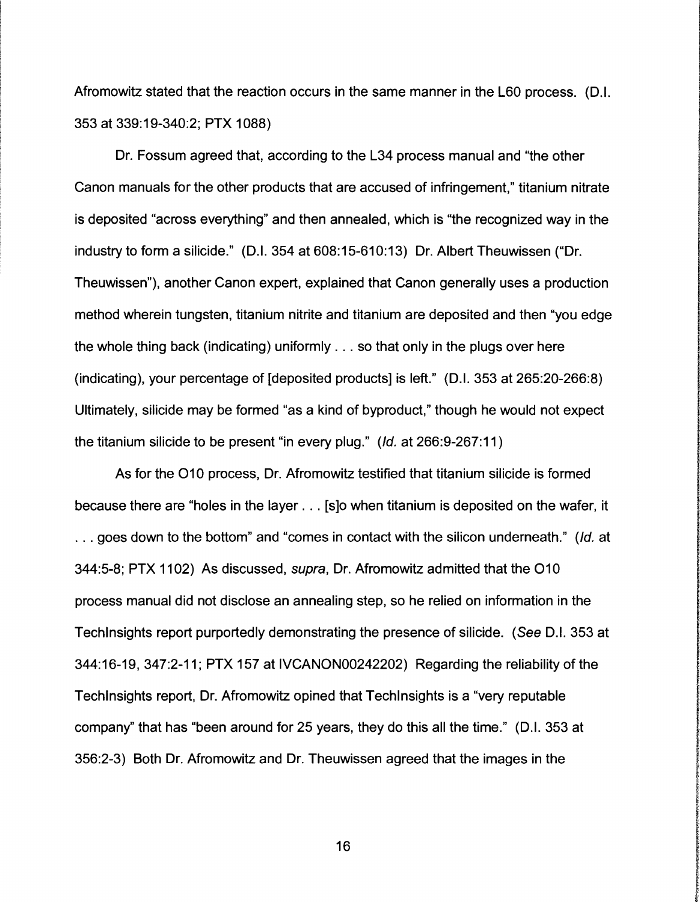Afromowitz stated that the reaction occurs in the same manner in the L60 process. (D.I. 353 at 339:19-340:2; PTX 1088)

Dr. Fossum agreed that, according to the L34 process manual and "the other Canon manuals for the other products that are accused of infringement," titanium nitrate is deposited "across everything" and then annealed, which is "the recognized way in the industry to form a silicide." (D.I. 354 at 608:15-610:13) Dr. Albert Theuwissen ("Dr. Theuwissen"), another Canon expert, explained that Canon generally uses a production method wherein tungsten, titanium nitrite and titanium are deposited and then "you edge the whole thing back (indicating) uniformly ... so that only in the plugs over here (indicating), your percentage of [deposited products] is left." (D.I. 353 at 265:20-266:8) Ultimately, silicide may be formed "as a kind of byproduct," though he would not expect the titanium silicide to be present "in every plug." (Id. at 266:9-267:11)

As for the 010 process, Dr. Afromowitz testified that titanium silicide is formed because there are "holes in the layer ... [s]o when titanium is deposited on the wafer, it ... goes down to the bottom" and "comes in contact with the silicon underneath." (Id. at 344:5-8; PTX 1102) As discussed, supra, Dr. Afromowitz admitted that the 010 process manual did not disclose an annealing step, so he relied on information in the Techlnsights report purportedly demonstrating the presence of silicide. (See D.I. 353 at 344:16-19, 347:2-11; PTX 157 at IVCANON00242202) Regarding the reliability of the Techlnsights report, Dr. Afromowitz opined that Techlnsights is a "very reputable company'' that has "been around for 25 years, they do this all the time." (D.I. 353 at 356:2-3) Both Dr. Afromowitz and Dr. Theuwissen agreed that the images in the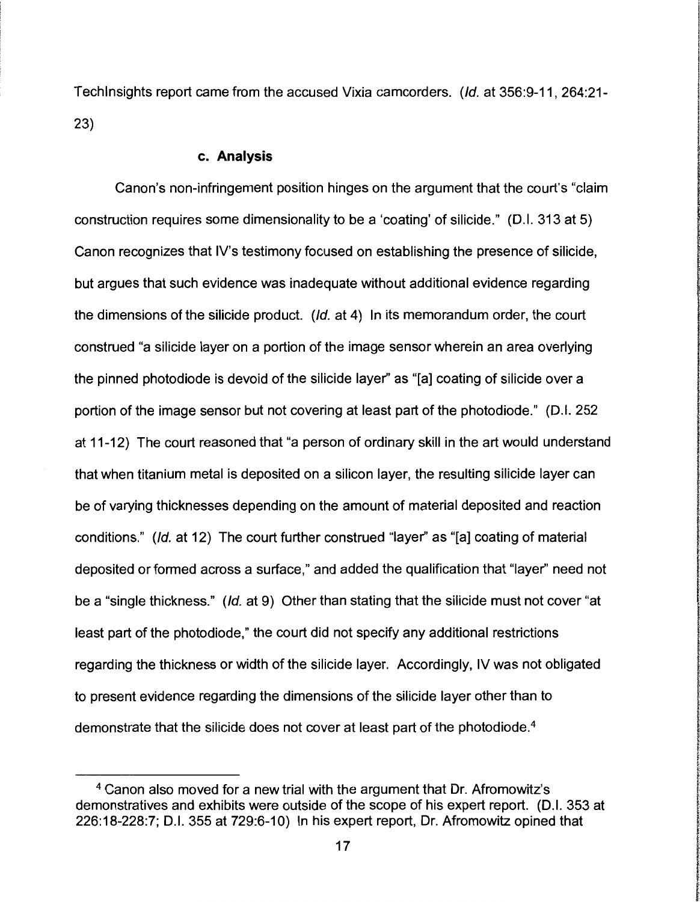Techlnsights report came from the accused Vixia camcorders. (Id. at 356:9-11, 264:21- 23)

#### **c. Analysis**

Canon's non-infringement position hinges on the argument that the court's "claim construction requires some dimensionality to be a 'coating' of silicide." (D.I. 313 at 5) Canon recognizes that IV's testimony focused on establishing the presence of silicide, but argues that such evidence was inadequate without additional evidence regarding the dimensions of the silicide product. (Id. at 4) In its memorandum order, the court construed "a silicide layer on a portion of the image sensor wherein an area overlying the pinned photodiode is devoid of the silicide layer" as "[a] coating of silicide over a portion of the image sensor but not covering at least part of the photodiode." (D.I. 252 at 11-12) The court reasoned that "a person of ordinary skill in the art would understand that when titanium metal is deposited on a silicon layer, the resulting silicide layer can be of varying thicknesses depending on the amount of material deposited and reaction conditions." (Id. at 12) The court further construed "layer" as "[a] coating of material deposited or formed across a surface," and added the qualification that "layer" need not be a "single thickness." (Id. at 9) Other than stating that the silicide must not cover "at least part of the photodiode," the court did not specify any additional restrictions regarding the thickness or width of the silicide layer. Accordingly, IV was not obligated to present evidence regarding the dimensions of the silicide layer other than to demonstrate that the silicide does not cover at least part of the photodiode.4

**removations** f

lines and the complete complete and complete the complete state of the complete state of the complete state of

<sup>4</sup>Canon also moved for a new trial with the argument that Dr. Afromowitz's demonstratives and exhibits were outside of the scope of his expert report. (D.I. 353 at 226:18-228:7; D.I. 355 at 729:6-10) In his expert report, Dr. Afromowitz opined that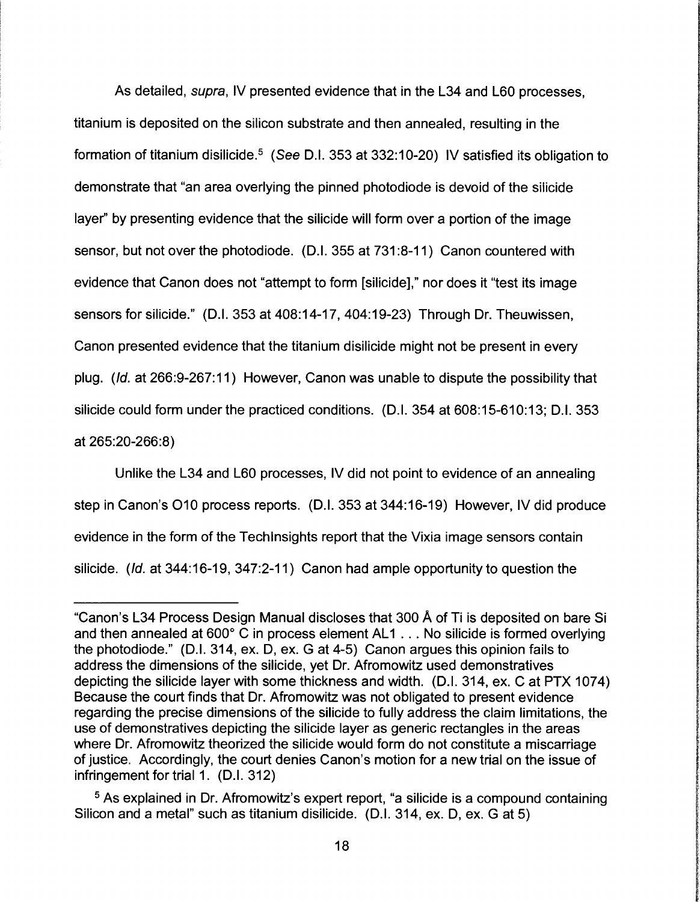As detailed, supra, IV presented evidence that in the L34 and L60 processes, titanium is deposited on the silicon substrate and then annealed, resulting in the formation of titanium disilicide.<sup>5</sup> (See D.I. 353 at 332:10-20) IV satisfied its obligation to demonstrate that "an area overlying the pinned photodiode is devoid of the silicide layer'' by presenting evidence that the silicide will form over a portion of the image sensor, but not over the photodiode. (D.I. 355 at 731 :8-11) Canon countered with evidence that Canon does not "attempt to form [silicide]," nor does it "test its image sensors for silicide." (D.I. 353 at 408:14-17, 404:19-23) Through Dr. Theuwissen, Canon presented evidence that the titanium disilicide might not be present in every plug. (Id. at 266:9-267:11) However, Canon was unable to dispute the possibility that silicide could form under the practiced conditions. (D.I. 354 at 608:15-610:13; D.I. 353 at 265:20-266:8)

Unlike the L34 and L60 processes, IV did not point to evidence of an annealing step in Canon's 010 process reports. (D.I. 353 at 344:16-19) However, IV did produce evidence in the form of the Techlnsights report that the Vixia image sensors contain silicide. (Id. at 344:16-19, 347:2-11) Canon had ample opportunity to question the

<sup>&</sup>quot;Canon's L34 Process Design Manual discloses that 300 A of Ti is deposited on bare Si and then annealed at  $600^{\circ}$  C in process element AL1  $\dots$  No silicide is formed overlying the photodiode." (D.I. 314, ex. D, ex. G at 4-5) Canon argues this opinion fails to address the dimensions of the silicide, yet Dr. Afromowitz used demonstratives depicting the silicide layer with some thickness and width. (D.I. 314, ex. C at PTX 1074) Because the court finds that Dr. Afromowitz was not obligated to present evidence regarding the precise dimensions of the silicide to fully address the claim limitations, the use of demonstratives depicting the silicide layer as generic rectangles in the areas where Dr. Afromowitz theorized the silicide would form do not constitute a miscarriage of justice. Accordingly, the court denies Canon's motion for a new trial on the issue of infringement for trial 1. (D.I. 312)

<sup>&</sup>lt;sup>5</sup> As explained in Dr. Afromowitz's expert report, "a silicide is a compound containing Silicon and a metal" such as titanium disilicide. (D.I. 314, ex. D, ex. G at 5)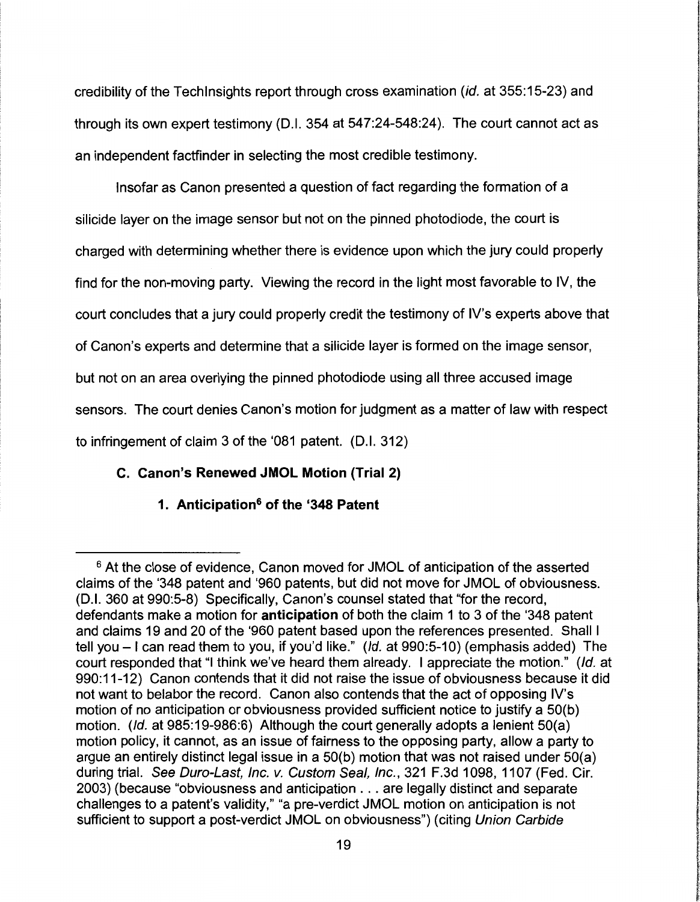credibility of the Techlnsights report through cross examination (id. at 355:15-23) and through its own expert testimony (D.I. 354 at 547:24-548:24). The court cannot act as an independent factfinder in selecting the most credible testimony.

Insofar as Canon presented a question of fact regarding the formation of a silicide layer on the image sensor but not on the pinned photodiode, the court is charged with determining whether there is evidence upon which the jury could properly find for the non-moving party. Viewing the record in the light most favorable to IV, the court concludes that a jury could properly credit the testimony of IV's experts above that of Canon's experts and determine that a silicide layer is formed on the image sensor, but not on an area overlying the pinned photodiode using all three accused image sensors. The court denies Canon's motion for judgment as a matter of law with respect to infringement of claim 3 of the '081 patent. (D.I. 312)

# **C. Canon's Renewed JMOL Motion (Trial 2)**

# **1. Anticipation6 of the '348 Patent**

<sup>&</sup>lt;sup>6</sup> At the close of evidence, Canon moved for JMOL of anticipation of the asserted claims of the '348 patent and '960 patents, but did not move for JMOL of obviousness. (D.I. 360 at 990:5-8) Specifically, Canon's counsel stated that "for the record, defendants make a motion for **anticipation** of both the claim 1 to 3 of the '348 patent and claims 19 and 20 of the '960 patent based upon the references presented. Shall I tell you - I can read them to you, if you'd like." (Id. at 990:5-10) (emphasis added) The court responded that "I think we've heard them already. I appreciate the motion." (Id. at 990:11-12) Canon contends that it did not raise the issue of obviousness because it did not want to belabor the record. Canon also contends that the act of opposing IV's motion of no anticipation or obviousness provided sufficient notice to justify a 50(b) motion. (Id. at 985:19-986:6) Although the court generally adopts a lenient 50(a) motion policy, it cannot, as an issue of fairness to the opposing party, allow a party to argue an entirely distinct legal issue in a 50(b) motion that was not raised under 50(a) during trial. See Duro-Last, Inc. v. Custom Seal, Inc., 321 F.3d 1098, 1107 (Fed. Cir. 2003) (because "obviousness and anticipation ... are legally distinct and separate challenges to a patent's validity," "a pre-verdict JMOL motion on anticipation is not sufficient to support a post-verdict JMOL on obviousness") (citing Union Carbide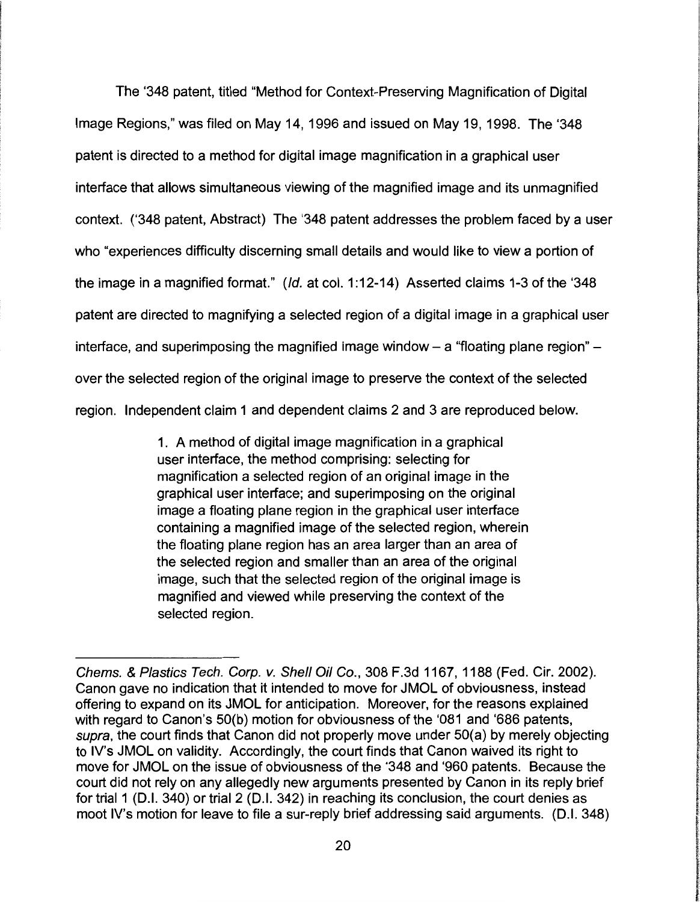The '348 patent, titled "Method for Context-Preserving Magnification of Digital Image Regions," was filed on May 14, 1996 and issued on May 19, 1998. The '348 patent is directed to a method for digital image magnification in a graphical user interface that allows simultaneous viewing of the magnified image and its unmagnified context. ('348 patent, Abstract) The '348 patent addresses the problem faced by a user who "experiences difficulty discerning small details and would like to view a portion of the image in a magnified format." (Id. at col. 1:12-14) Asserted claims 1-3 of the '348 patent are directed to magnifying a selected region of a digital image in a graphical user interface, and superimposing the magnified image window  $-$  a "floating plane region"  $$ over the selected region of the original image to preserve the context of the selected region. Independent claim 1 and dependent claims 2 and 3 are reproduced below.

> 1. A method of digital image magnification in a graphical user interface, the method comprising: selecting for magnification a selected region of an original image in the graphical user interface; and superimposing on the original image a floating plane region in the graphical user interface containing a magnified image of the selected region, wherein the floating plane region has an area larger than an area of the selected region and smaller than an area of the original image, such that the selected region of the original image is magnified and viewed while preserving the context of the selected region.

**international Service** 

I

**International Control** 

'

Chems. & Plastics Tech. Corp. v. Shell Oil Co., 308 F.3d 1167, 1188 (Fed. Cir. 2002). Canon gave no indication that it intended to move for JMOL of obviousness, instead offering to expand on its JMOL for anticipation. Moreover, for the reasons explained with regard to Canon's 50(b) motion for obviousness of the '081 and '686 patents, supra, the court finds that Canon did not properly move under 50(a) by merely objecting to IV's JMOL on validity. Accordingly, the court finds that Canon waived its right to move for JMOL on the issue of obviousness of the '348 and '960 patents. Because the court did not rely on any allegedly new arguments presented by Canon in its reply brief for trial 1 (D.I. 340) or trial 2 (D.I. 342) in reaching its conclusion, the court denies as moot IV's motion for leave to file a sur-reply brief addressing said arguments. (D.I. 348)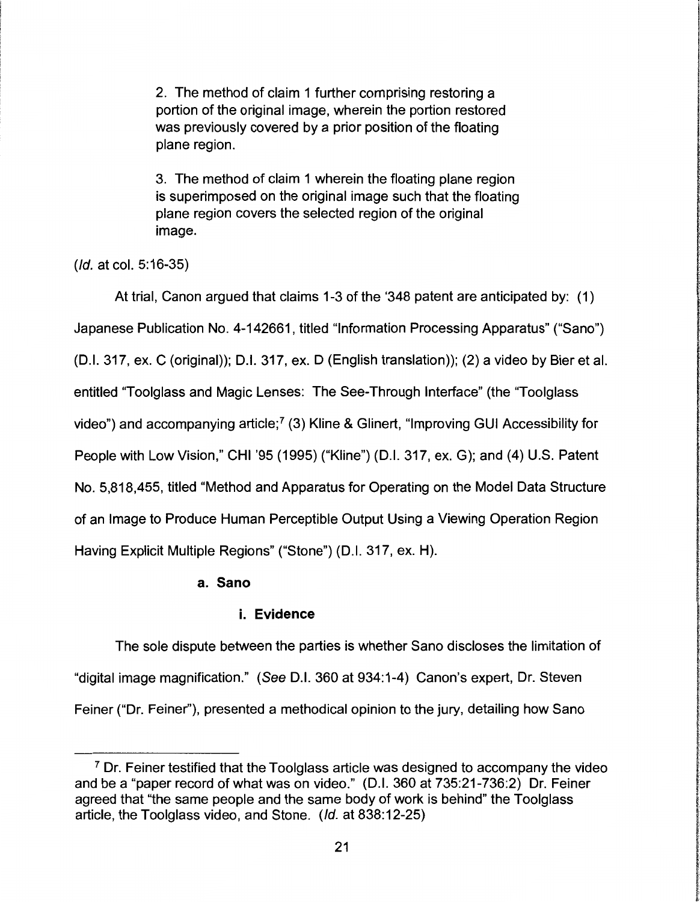2. The method of claim 1 further comprising restoring a portion of the original image, wherein the portion restored was previously covered by a prior position of the floating plane region.

-----~

де колдериясының колдонулық ауды.<br>Негізі

3. The method of claim 1 wherein the floating plane region is superimposed on the original image such that the floating plane region covers the selected region of the original image.

(Id. at col. 5:16-35)

At trial, Canon argued that claims 1-3 of the '348 patent are anticipated by: (1)

Japanese Publication No. 4-142661, titled "Information Processing Apparatus" ("Sano")

(D.I. 317, ex. C (original)); D.I. 317, ex. D (English translation)); (2) a video by Bier et al.

entitled "Toolglass and Magic Lenses: The See-Through Interface" (the "Toolglass

video") and accompanying article;<sup>7</sup> (3) Kline & Glinert, "Improving GUI Accessibility for

People with Low Vision," CHI '95 (1995) ("Kline") (D.I. 317, ex. G); and (4) U.S. Patent

No. 5,818,455, titled "Method and Apparatus for Operating on the Model Data Structure

of an Image to Produce Human Perceptible Output Using a Viewing Operation Region

Having Explicit Multiple Regions" ("Stone") (D.I. 317, ex. H).

# **a. Sano**

# **i. Evidence**

The sole dispute between the parties is whether Sano discloses the limitation of "digital image magnification." (See D.I. 360 at 934:1-4) Canon's expert, Dr. Steven Feiner ("Dr. Feiner"), presented a methodical opinion to the jury, detailing how Sano

 $<sup>7</sup>$  Dr. Feiner testified that the Toolglass article was designed to accompany the video</sup> and be a "paper record of what was on video." (D.I. 360 at 735:21-736:2) Dr. Feiner agreed that "the same people and the same body of work is behind" the Toolglass article, the Toolglass video, and Stone. (Id. at 838:12-25)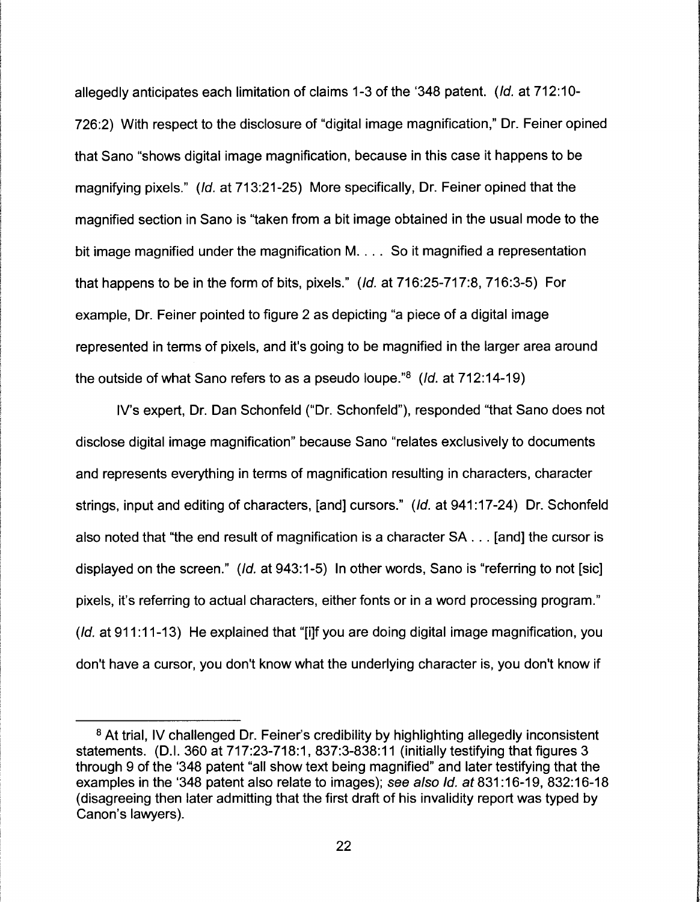allegedly anticipates each limitation of claims 1-3 of the '348 patent. (Id. at 712: 10- 726:2) With respect to the disclosure of "digital image magnification," Dr. Feiner opined that Sano "shows digital image magnification, because in this case it happens to be magnifying pixels." (Id. at 713:21-25) More specifically, Dr. Feiner opined that the magnified section in Sano is "taken from a bit image obtained in the usual mode to the bit image magnified under the magnification M. . . . So it magnified a representation that happens to be in the form of bits, pixels." (Id. at 716:25-717:8, 716:3-5) For example, Dr. Feiner pointed to figure 2 as depicting "a piece of a digital image represented in terms of pixels, and it's going to be magnified in the larger area around the outside of what Sano refers to as a pseudo loupe."8 (Id. at 712:14-19)

IV's expert, Dr. Dan Schonfeld ("Dr. Schonfeld"), responded "that Sano does not disclose digital image magnification" because Sano "relates exclusively to documents and represents everything in terms of magnification resulting in characters, character strings, input and editing of characters, [and] cursors." (Id. at 941 :17-24) Dr. Schonfeld also noted that "the end result of magnification is a character SA ... [and] the cursor is displayed on the screen." (Id. at 943:1-5) In other words, Sano is "referring to not [sic] pixels, it's referring to actual characters, either fonts or in a word processing program." (*Id.* at 911:11-13) He explained that "[i]f you are doing digital image magnification, you don't have a cursor, you don't know what the underlying character is, you don't know if

**industrial control** l l

'

<sup>&</sup>lt;sup>8</sup> At trial, IV challenged Dr. Feiner's credibility by highlighting allegedly inconsistent statements. (D.I. 360 at 717:23-718:1, 837:3-838:11 (initially testifying that figures 3 through 9 of the '348 patent "all show text being magnified" and later testifying that the examples in the '348 patent also relate to images); see also Id. at 831 :16-19, 832:16-18 (disagreeing then later admitting that the first draft of his invalidity report was typed by Canon's lawyers).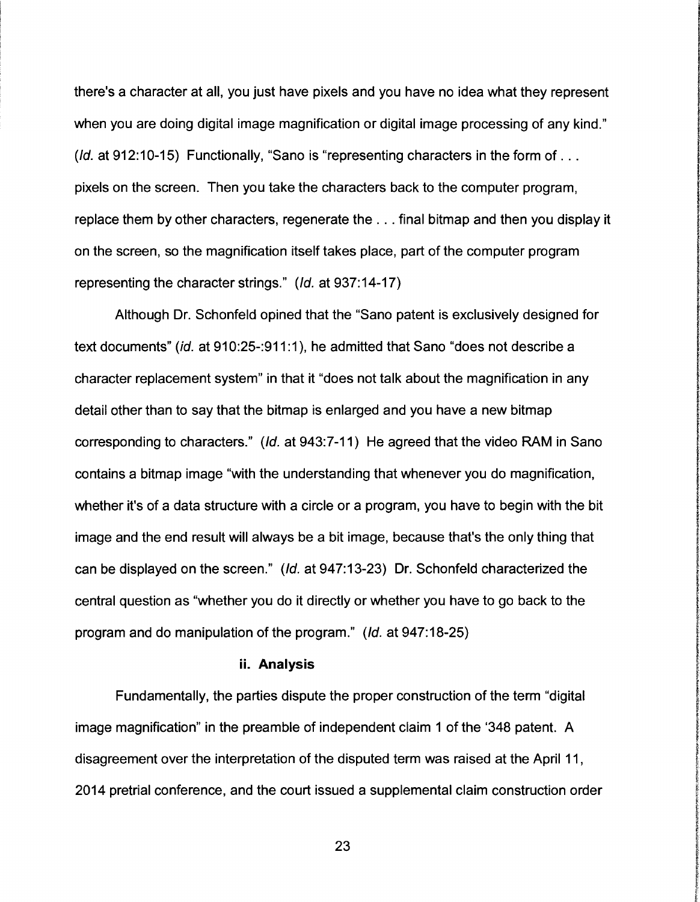there's a character at all, you just have pixels and you have no idea what they represent when you are doing digital image magnification or digital image processing of any kind." (*Id.* at 912:10-15) Functionally, "Sano is "representing characters in the form of ... pixels on the screen. Then you take the characters back to the computer program, replace them by other characters, regenerate the ... final bitmap and then you display it on the screen, so the magnification itself takes place, part of the computer program representing the character strings." (Id. at 937:14-17)

Although Dr. Schonfeld opined that the "Sano patent is exclusively designed for text documents" (id. at 910:25-:911 :1 ), he admitted that Sano "does not describe a character replacement system" in that it "does not talk about the magnification in any detail other than to say that the bitmap is enlarged and you have a new bitmap corresponding to characters." (Id. at 943:7-11) He agreed that the video RAM in Sano contains a bitmap image "with the understanding that whenever you do magnification, whether it's of a data structure with a circle or a program, you have to begin with the bit image and the end result will always be a bit image, because that's the only thing that can be displayed on the screen." (Id. at 947:13-23) Dr. Schonfeld characterized the central question as "whether you do it directly or whether you have to go back to the program and do manipulation of the program." (Id. at 947:18-25)

#### **ii. Analysis**

Fundamentally, the parties dispute the proper construction of the term "digital image magnification" in the preamble of independent claim 1 of the '348 patent. A disagreement over the interpretation of the disputed term was raised at the April 11, 2014 pretrial conference, and the court issued a supplemental claim construction order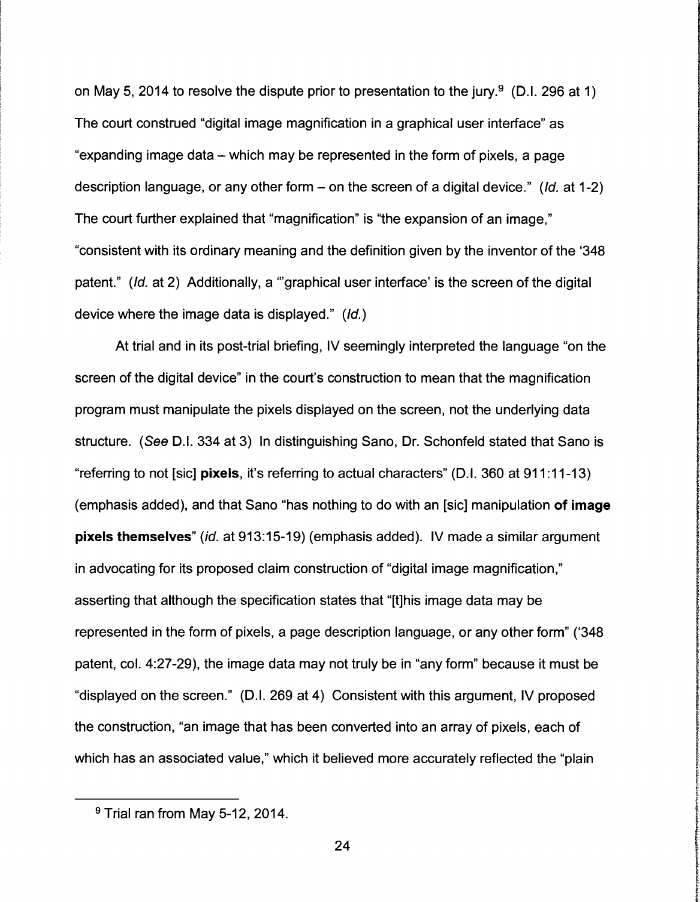on May 5, 2014 to resolve the dispute prior to presentation to the jury.<sup>9</sup> (D.I. 296 at 1) The court construed "digital image magnification in a graphical user interface" as "expanding image data – which may be represented in the form of pixels, a page description language, or any other form  $-$  on the screen of a digital device." (*Id.* at 1-2) The court further explained that "magnification" is "the expansion of an image," "consistent with its ordinary meaning and the definition given by the inventor of the '348 patent." (Id. at 2) Additionally, a "graphical user interface' is the screen of the digital device where the image data is displayed." (Id.)

At trial and in its post-trial briefing, IV seemingly interpreted the language "on the screen of the digital device" in the court's construction to mean that the magnification program must manipulate the pixels displayed on the screen, not the underlying data structure. (See D.I. 334 at 3) In distinguishing Sano, Dr. Schonfeld stated that Sano is "referring to not [sic] **pixels,** it's referring to actual characters" (D.I. 360 at 911 :11-13) (emphasis added), and that Sano "has nothing to do with an [sic] manipulation **of image pixels themselves"** (id. at 913:15-19) (emphasis added). IV made a similar argument in advocating for its proposed claim construction of "digital image magnification," asserting that although the specification states that "[t]his image data may be represented in the form of pixels, a page description language, or any other form" ('348 patent, col. 4:27-29), the image data may not truly be in "any form" because it must be "displayed on the screen." (D.I. 269 at 4) Consistent with this argument, IV proposed the construction, "an image that has been converted into an array of pixels, each of which has an associated value," which it believed more accurately reflected the "plain

I. **Including** 

**IN PARTICULAR CONTROL CONTROL** 

In Change of Chinese Containers

Cultures 2000 additional estimation and technical

**f** ~ **the Michigan** 

<sup>&</sup>lt;sup>9</sup> Trial ran from May 5-12, 2014.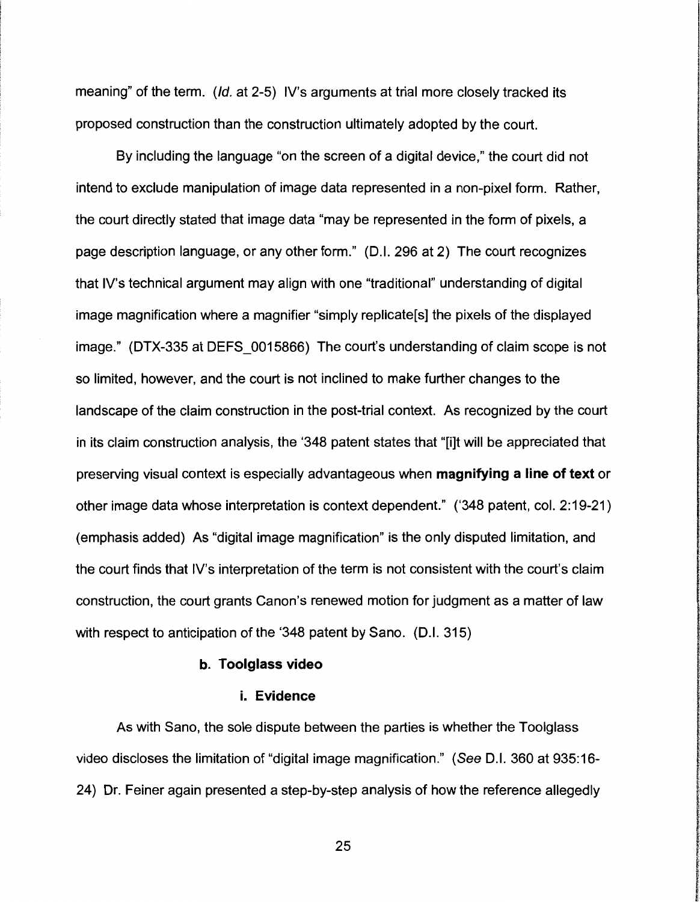meaning" of the term. (*Id.* at 2-5) IV's arguments at trial more closely tracked its proposed construction than the construction ultimately adopted by the court.

By including the language "on the screen of a digital device," the court did not intend to exclude manipulation of image data represented in a non-pixel form. Rather, the court directly stated that image data "may be represented in the form of pixels, a page description language, or any other form." (D.I. 296 at 2) The court recognizes that IV's technical argument may align with one "traditional" understanding of digital image magnification where a magnifier "simply replicate[s] the pixels of the displayed image." (DTX-335 at DEFS\_0015866) The court's understanding of claim scope is not so limited, however, and the court is not inclined to make further changes to the landscape of the claim construction in the post-trial context. As recognized by the court in its claim construction analysis, the '348 patent states that "[i]t will be appreciated that preserving visual context is especially advantageous when **magnifying a line of text** or other image data whose interpretation is context dependent." ('348 patent, col. 2:19-21) (emphasis added) As "digital image magnification" is the only disputed limitation, and the court finds that IV's interpretation of the term is not consistent with the court's claim construction, the court grants Canon's renewed motion for judgment as a matter of law with respect to anticipation of the '348 patent by Sano. (D.I. 315)

## **b. Toolglass video**

#### **i. Evidence**

As with Sano, the sole dispute between the parties is whether the Toolglass video discloses the limitation of "digital image magnification." (See 0.1. 360 at 935:16- 24) Dr. Feiner again presented a step-by-step analysis of how the reference allegedly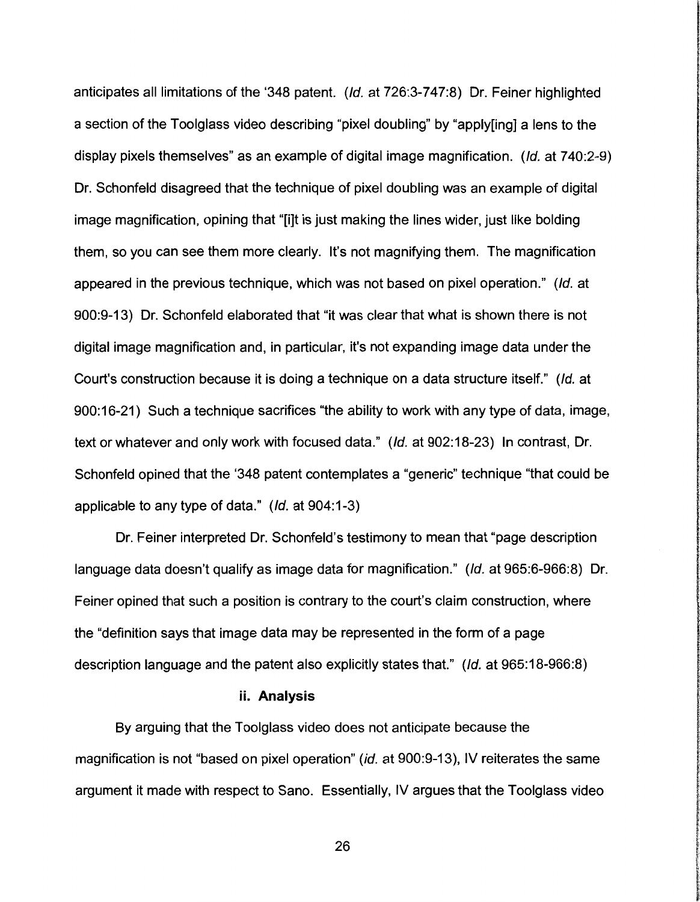anticipates all limitations of the '348 patent. (Id. at 726:3-747:8) Dr. Feiner highlighted a section of the Toolglass video describing "pixel doubling" by "apply[ing] a lens to the display pixels themselves" as an example of digital image magnification. (Id. at 740:2-9) Dr. Schonfeld disagreed that the technique of pixel doubling was an example of digital image magnification, opining that "[i]t is just making the lines wider, just like bolding them, so you can see them more clearly. It's not magnifying them. The magnification appeared in the previous technique, which was not based on pixel operation." (Id. at 900:9-13) Dr. Schonfeld elaborated that "it was clear that what is shown there is not digital image magnification and, in particular, it's not expanding image data under the Court's construction because it is doing a technique on a data structure itself." (Id. at 900:16-21) Such a technique sacrifices "the ability to work with any type of data, image, text or whatever and only work with focused data." (Id. at 902:18-23) In contrast, Dr. Schonfeld opined that the '348 patent contemplates a "generic" technique "that could be applicable to any type of data." (Id. at 904:1-3)

**INSTRUCTION** 

**WATER** 

la de la contenenta

ال الطوابع المن Windows (1980) من المناخ

**ISBN のことができるのですが、その他のことを見えているのです。** 

come con es apresentare.

**Creative** consumptions were a secure that

**またしたんという言葉の「あらえき」になるので、これには、「また」と言われるのではなから、その人を見ることもです。** 

**国内の実は、国内市での大きなのでは、このことがある。このことには、このことが、このことが、このことが、** 

' I

l ikinama)

Dr. Feiner interpreted Dr. Schonfeld's testimony to mean that "page description language data doesn't qualify as image data for magnification." (Id. at 965:6-966:8) Dr. Feiner opined that such a position is contrary to the court's claim construction, where the "definition says that image data may be represented in the form of a page description language and the patent also explicitly states that." (Id. at 965:18-966:8)

#### ii. **Analysis**

By arguing that the Toolglass video does not anticipate because the magnification is not "based on pixel operation" (id. at 900:9-13), IV reiterates the same argument it made with respect to Sano. Essentially, IV argues that the Toolglass video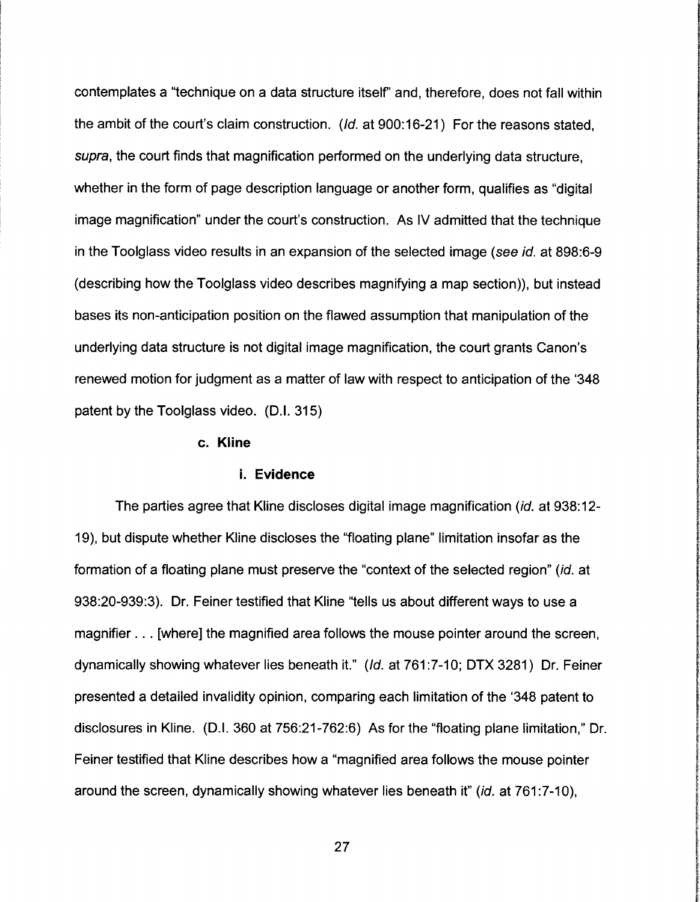contemplates a "technique on a data structure itself' and, therefore, does not fall within the ambit of the court's claim construction. (*Id.* at 900:16-21) For the reasons stated, supra, the court finds that magnification performed on the underlying data structure, whether in the form of page description language or another form, qualifies as "digital image magnification" under the court's construction. As IV admitted that the technique in the Toolglass video results in an expansion of the selected image (see *id.* at 898:6-9 (describing how the Toolglass video describes magnifying a map section)), but instead bases its non-anticipation position on the flawed assumption that manipulation of the underlying data structure is not digital image magnification, the court grants Canon's renewed motion for judgment as a matter of law with respect to anticipation of the '348 patent by the Toolglass video. (D.I. 315)

#### **c. Kline**

#### **i. Evidence**

The parties agree that Kline discloses digital image magnification (id. at 938:12-19), but dispute whether Kline discloses the "floating plane" limitation insofar as the formation of a floating plane must preserve the "context of the selected region" (id. at 938:20-939:3). Dr. Feiner testified that Kline "tells us about different ways to use a magnifier ... [where] the magnified area follows the mouse pointer around the screen, dynamically showing whatever lies beneath it." (Id. at 761:7-10; DTX 3281) Dr. Feiner presented a detailed invalidity opinion, comparing each limitation of the '348 patent to disclosures in Kline. (D.I. 360 at 756:21-762:6) As for the "floating plane limitation," Dr. Feiner testified that Kline describes how a "magnified area follows the mouse pointer around the screen, dynamically showing whatever lies beneath it" (id. at 761:7-10),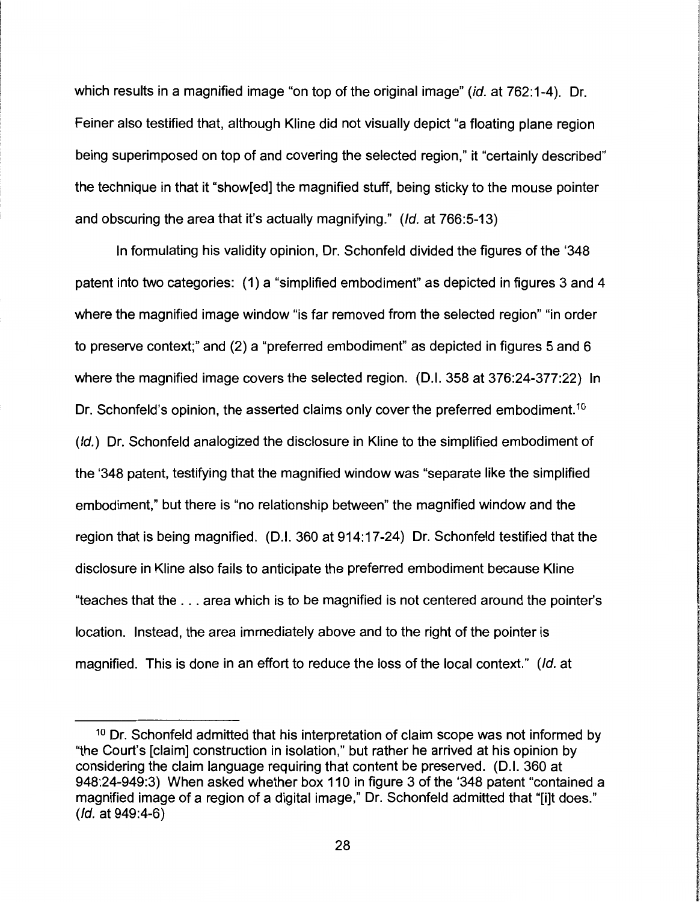which results in a magnified image "on top of the original image" (*id.* at 762:1-4). Dr. Feiner also testified that, although Kline did not visually depict "a floating plane region being superimposed on top of and covering the selected region," it "certainly described" the technique in that it "show[ed] the magnified stuff, being sticky to the mouse pointer and obscuring the area that it's actually magnifying." (Id. at 766:5-13)

In formulating his validity opinion, Dr. Schonfeld divided the figures of the '348 patent into two categories: (1) a "simplified embodiment" as depicted in figures 3 and 4 where the magnified image window "is far removed from the selected region" "in order to preserve context;" and (2) a "preferred embodiment" as depicted in figures 5 and 6 where the magnified image covers the selected region. (D.I. 358 at 376:24-377:22) In Dr. Schonfeld's opinion, the asserted claims only cover the preferred embodiment.<sup>10</sup> (Id.) Dr. Schonfeld analogized the disclosure in Kline to the simplified embodiment of the '348 patent, testifying that the magnified window was "separate like the simplified embodiment," but there is "no relationship between" the magnified window and the region that is being magnified. (D.I. 360 at 914:17-24) Dr. Schonfeld testified that the disclosure in Kline also fails to anticipate the preferred embodiment because Kline "teaches that the ... area which is to be magnified is not centered around the pointer's location. Instead, the area immediately above and to the right of the pointer is magnified. This is done in an effort to reduce the loss of the local context." (Id. at

**IN THE REAL PROPERTY AND RELEASED FOR THE REAL PROPERTY** 

<sup>&</sup>lt;sup>10</sup> Dr. Schonfeld admitted that his interpretation of claim scope was not informed by "the Court's [claim] construction in isolation,'' but rather he arrived at his opinion by considering the claim language requiring that content be preserved. (D.I. 360 at 948:24-949:3) When asked whether box 110 in figure 3 of the '348 patent "contained a magnified image of a region of a digital image," Dr. Schonfeld admitted that "[i]t does." (Id. at 949:4-6)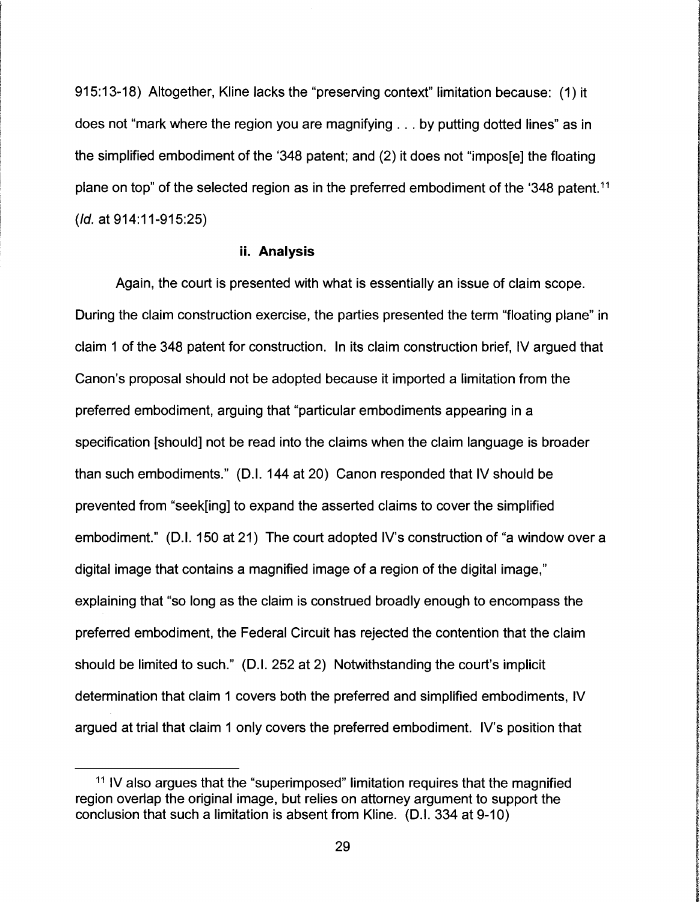915:13-18) Altogether, Kline lacks the "preserving context" limitation because: (1) it does not "mark where the region you are magnifying ... by putting dotted lines" as in the simplified embodiment of the '348 patent; and (2) it does not "impos[e] the floating plane on top" of the selected region as in the preferred embodiment of the '348 patent.<sup>11</sup> (Id. at 914:11-915:25)

#### **ii. Analysis**

Again, the court is presented with what is essentially an issue of claim scope. During the claim construction exercise, the parties presented the term "floating plane" in claim 1 of the 348 patent for construction. In its claim construction brief, IV argued that Canon's proposal should not be adopted because it imported a limitation from the preferred embodiment, arguing that "particular embodiments appearing in a specification [should] not be read into the claims when the claim language is broader than such embodiments." (D.I. 144 at 20) Canon responded that IV should be prevented from "seek[ing] to expand the asserted claims to cover the simplified embodiment." (D.I. 150 at 21) The court adopted IV's construction of "a window over a digital image that contains a magnified image of a region of the digital image," explaining that "so long as the claim is construed broadly enough to encompass the preferred embodiment, the Federal Circuit has rejected the contention that the claim should be limited to such." (D.I. 252 at 2) Notwithstanding the court's implicit determination that claim 1 covers both the preferred and simplified embodiments, IV argued at trial that claim 1 only covers the preferred embodiment. IV's position that

**International Accountability** the complete complete com

f **International Constitutions** 

**International Constitution Profession** 

**In this control of the control of the Control of Second** 

**INSPERT** 

**Residents ILE ARMANA** 

<sup>&</sup>lt;sup>11</sup> IV also argues that the "superimposed" limitation requires that the magnified region overlap the original image, but relies on attorney argument to support the conclusion that such a limitation is absent from Kline. (D.I. 334 at 9-10)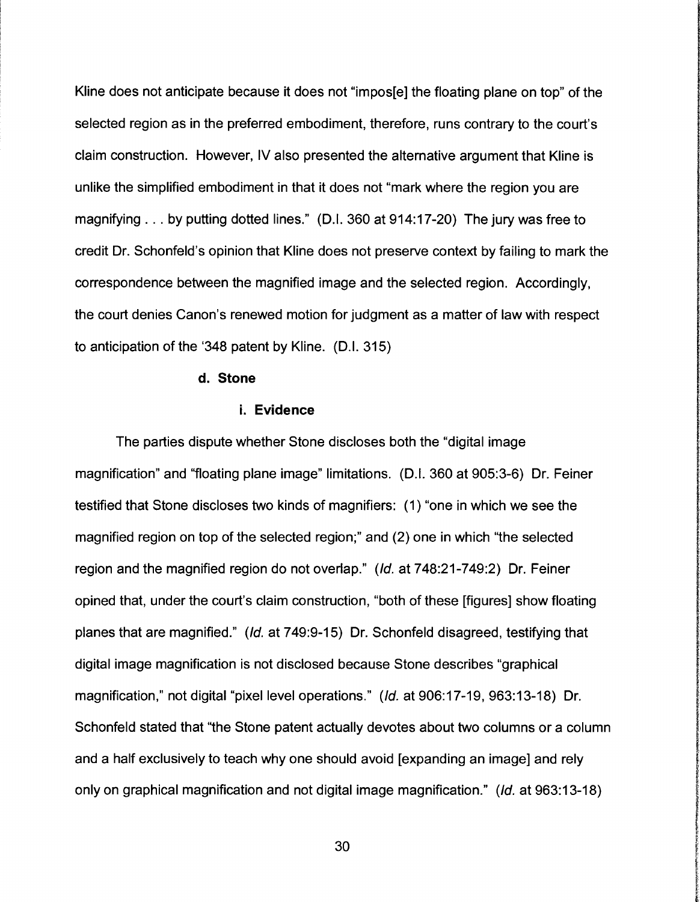Kline does not anticipate because it does not "impos[e] the floating plane on top" of the selected region as in the preferred embodiment, therefore, runs contrary to the court's claim construction. However, IV also presented the alternative argument that Kline is unlike the simplified embodiment in that it does not "mark where the region you are magnifying ... by putting dotted lines." (D.I. 360 at 914:17-20) The jury was free to credit Dr. Schonfeld's opinion that Kline does not preserve context by failing to mark the correspondence between the magnified image and the selected region. Accordingly, the court denies Canon's renewed motion for judgment as a matter of law with respect to anticipation of the '348 patent by Kline. (D.I. 315)

#### **d. Stone**

## **i. Evidence**

The parties dispute whether Stone discloses both the "digital image magnification" and "floating plane image" limitations. (D.I. 360 at 905:3-6) Dr. Feiner testified that Stone discloses two kinds of magnifiers: (1) "one in which we see the magnified region on top of the selected region;" and (2) one in which "the selected region and the magnified region do not overlap." (Id. at 748:21-749:2) Dr. Feiner opined that, under the court's claim construction, "both of these [figures] show floating planes that are magnified." (Id. at 749:9-15) Dr. Schonfeld disagreed, testifying that digital image magnification is not disclosed because Stone describes "graphical magnification," not digital "pixel level operations." (Id. at 906:17-19, 963:13-18) Dr. Schonfeld stated that "the Stone patent actually devotes about two columns or a column and a half exclusively to teach why one should avoid [expanding an image] and rely only on graphical magnification and not digital image magnification." (Id. at 963:13-18)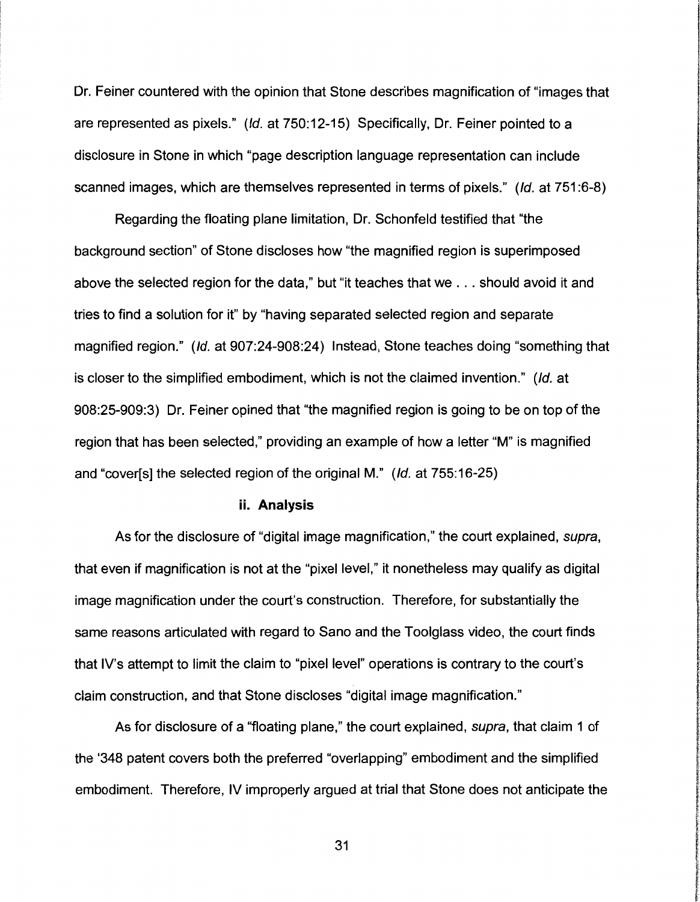Dr. Feiner countered with the opinion that Stone describes magnification of "images that are represented as pixels." (Id. at 750:12-15) Specifically, Dr. Feiner pointed to a disclosure in Stone in which "page description language representation can include scanned images, which are themselves represented in terms of pixels." (Id. at 751:6-8)

Regarding the floating plane limitation, Dr. Schonfeld testified that "the background section" of Stone discloses how "the magnified region is superimposed above the selected region for the data," but "it teaches that we ... should avoid it and tries to find a solution for it" by "having separated selected region and separate magnified region." (Id. at 907:24-908:24) Instead, Stone teaches doing "something that is closer to the simplified embodiment, which is not the claimed invention." (Id. at 908:25-909:3) Dr. Feiner opined that "the magnified region is going to be on top of the region that has been selected," providing an example of how a letter "M" is magnified and "cover[s] the selected region of the original M." (Id. at 755:16-25)

#### **ii. Analysis**

As for the disclosure of "digital image magnification," the court explained, supra, that even if magnification is not at the "pixel level," it nonetheless may qualify as digital image magnification under the court's construction. Therefore, for substantially the same reasons articulated with regard to Sano and the Toolglass video, the court finds that IV's attempt to limit the claim to "pixel level" operations is contrary to the court's claim construction, and that Stone discloses "digital image magnification."

**International Professional Community** 

**In this way of the first view of the contemplation and the contemplation** 

**LONGON WAS** 

As for disclosure of a "floating plane," the court explained, supra, that claim 1 of the '348 patent covers both the preferred "overlapping" embodiment and the simplified embodiment. Therefore, IV improperly argued at trial that Stone does not anticipate the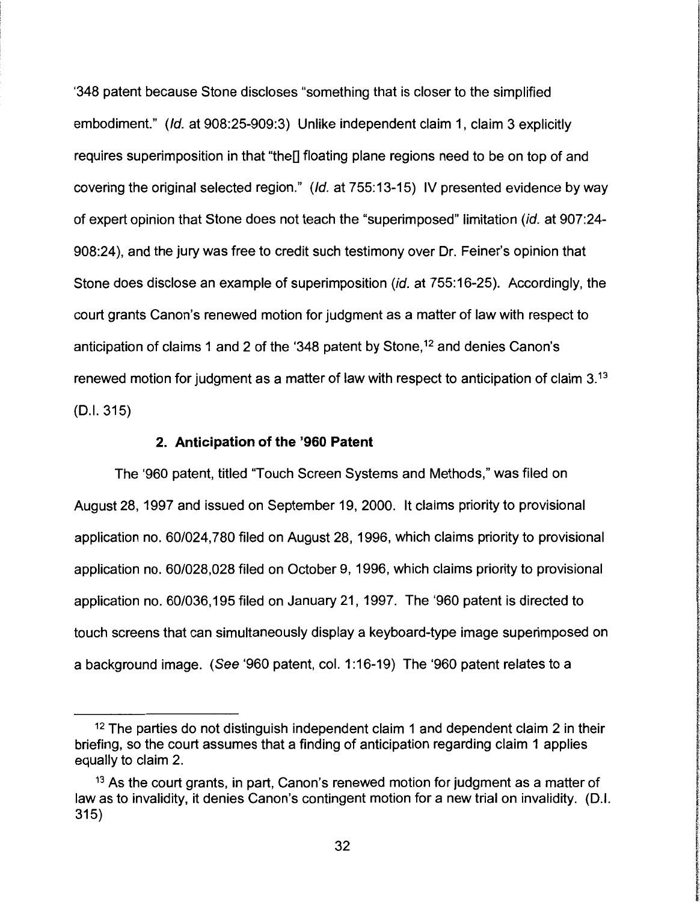'348 patent because Stone discloses "something that is closer to the simplified embodiment." (Id. at 908:25-909:3) Unlike independent claim 1, claim 3 explicitly requires superimposition in that "the<sup>n</sup> floating plane regions need to be on top of and covering the original selected region." (Id. at 755:13-15) IV presented evidence by way of expert opinion that Stone does not teach the "superimposed" limitation (id. at 907:24- 908:24 ), and the jury was free to credit such testimony over Dr. Feiner's opinion that Stone does disclose an example of superimposition (id. at 755:16-25). Accordingly, the court grants Canon's renewed motion for judgment as a matter of law with respect to anticipation of claims 1 and 2 of the '348 patent by Stone,<sup>12</sup> and denies Canon's renewed motion for judgment as a matter of law with respect to anticipation of claim 3.<sup>13</sup> (D.I. 315)

#### **2. Anticipation of the '960 Patent**

The '960 patent, titled "Touch Screen Systems and Methods," was filed on August 28, 1997 and issued on September 19, 2000. It claims priority to provisional application no. 60/024,780 filed on August 28, 1996, which claims priority to provisional application no. 60/028,028 filed on October 9, 1996, which claims priority to provisional application no. 60/036, 195 filed on January 21, 1997. The '960 patent is directed to touch screens that can simultaneously display a keyboard-type image superimposed on a background image. (See '960 patent, col. 1 :16-19) The '960 patent relates to a

 $12$  The parties do not distinguish independent claim 1 and dependent claim 2 in their briefing, so the court assumes that a finding of anticipation regarding claim 1 applies equally to claim 2.

<sup>&</sup>lt;sup>13</sup> As the court grants, in part, Canon's renewed motion for judgment as a matter of law as to invalidity, it denies Canon's contingent motion for a new trial on invalidity. (D.I. 315)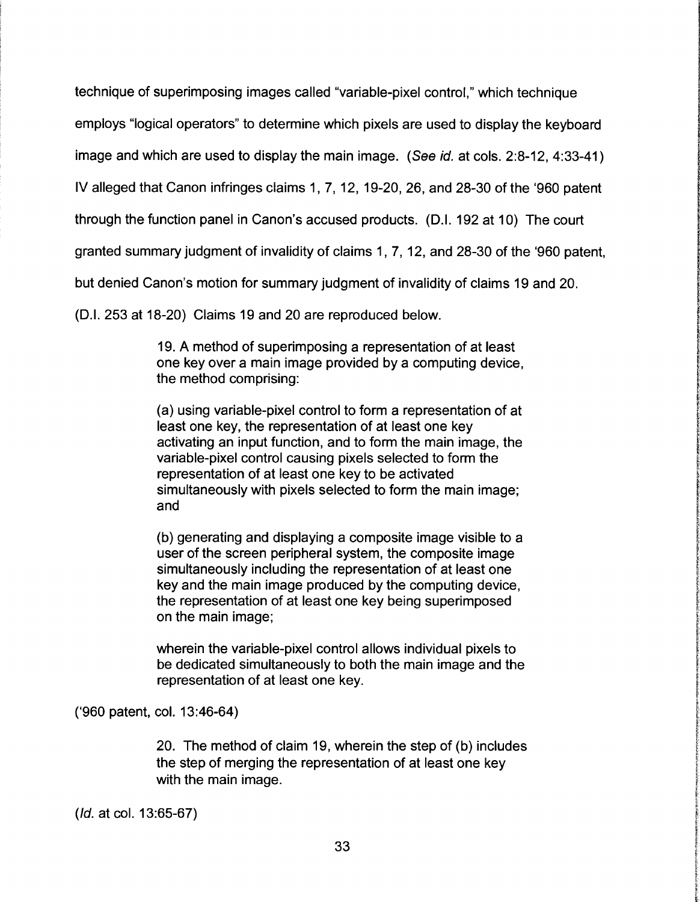technique of superimposing images called "variable-pixel control," which technique

employs "logical operators" to determine which pixels are used to display the keyboard

image and which are used to display the main image. (See id. at cols. 2:8-12, 4:33-41)

IV alleged that Canon infringes claims 1, 7, 12, 19-20, 26, and 28-30 of the '960 patent

through the function panel in Canon's accused products. (D.I. 192 at 10) The court

granted summary judgment of invalidity of claims 1 , 7, 12, and 28-30 of the '960 patent,

but denied Canon's motion for summary judgment of invalidity of claims 19 and 20.

(D.I. 253 at 18-20) Claims 19 and 20 are reproduced below.

19. A method of superimposing a representation of at least one key over a main image provided by a computing device, the method comprising:

(a) using variable-pixel control to form a representation of at least one key, the representation of at least one key activating an input function, and to form the main image, the variable-pixel control causing pixels selected to form the representation of at least one key to be activated simultaneously with pixels selected to form the main image; and

(b) generating and displaying a composite image visible to a user of the screen peripheral system, the composite image simultaneously including the representation of at least one key and the main image produced by the computing device, the representation of at least one key being superimposed on the main image;

wherein the variable-pixel control allows individual pixels to be dedicated simultaneously to both the main image and the representation of at least one key.

('960 patent, col. 13:46-64)

20. The method of claim 19, wherein the step of (b) includes the step of merging the representation of at least one key with the main image.

(Id. at col. 13:65-67)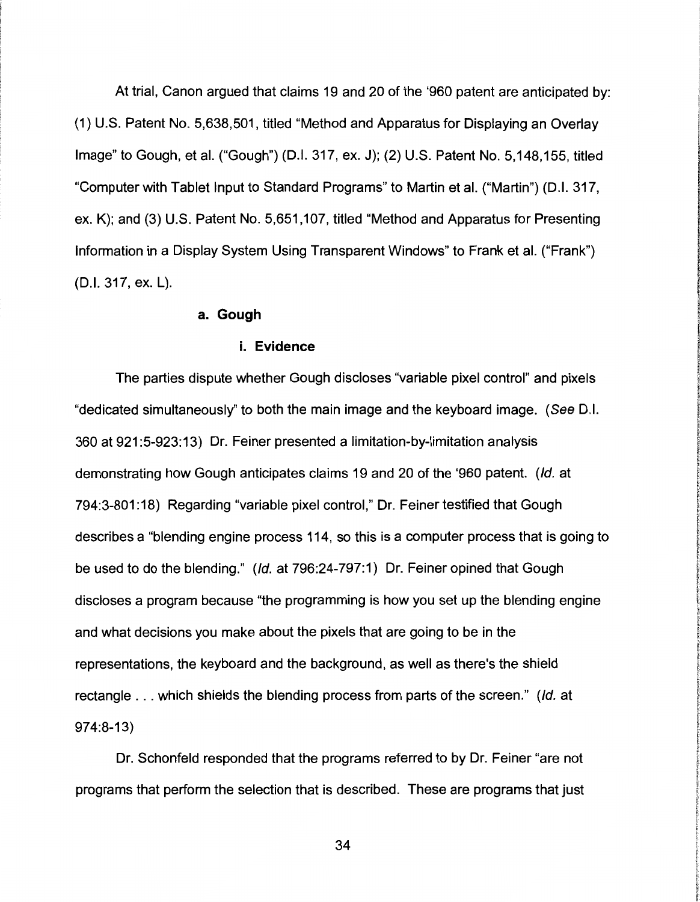At trial, Canon argued that claims 19 and 20 of the '960 patent are anticipated by: (1) U.S. Patent No. 5,638,501, titled "Method and Apparatus for Displaying an Overlay Image" to Gough, et al. ("Gough") (D.I. 317, ex. J); (2) U.S. Patent No. 5,148,155, titled "Computer with Tablet Input to Standard Programs" to Martin et al. ("Martin") (D.I. 317, ex. K); and (3) U.S. Patent No. 5,651, 107, titled "Method and Apparatus for Presenting Information in a Display System Using Transparent Windows" to Frank et al. ("Frank") (D.I. 317, ex. L).

## **a. Gough**

#### **i. Evidence**

The parties dispute whether Gough discloses "variable pixel control" and pixels "dedicated simultaneously" to both the main image and the keyboard image. (See D.I. 360 at 921 :5-923:13) Dr. Feiner presented a limitation-by-limitation analysis demonstrating how Gough anticipates claims 19 and 20 of the '960 patent. (Id. at 794:3-801: 18) Regarding "variable pixel control," Dr. Feiner testified that Gough describes a "blending engine process 114, so this is a computer process that is going to be used to do the blending." (Id. at 796:24-797:1) Dr. Feiner opined that Gough discloses a program because "the programming is how you set up the blending engine and what decisions you make about the pixels that are going to be in the representations, the keyboard and the background, as well as there's the shield rectangle ... which shields the blending process from parts of the screen." (Id. at 974:8-13)

Dr. Schonfeld responded that the programs referred to by Dr. Feiner "are not programs that perform the selection that is described. These are programs that just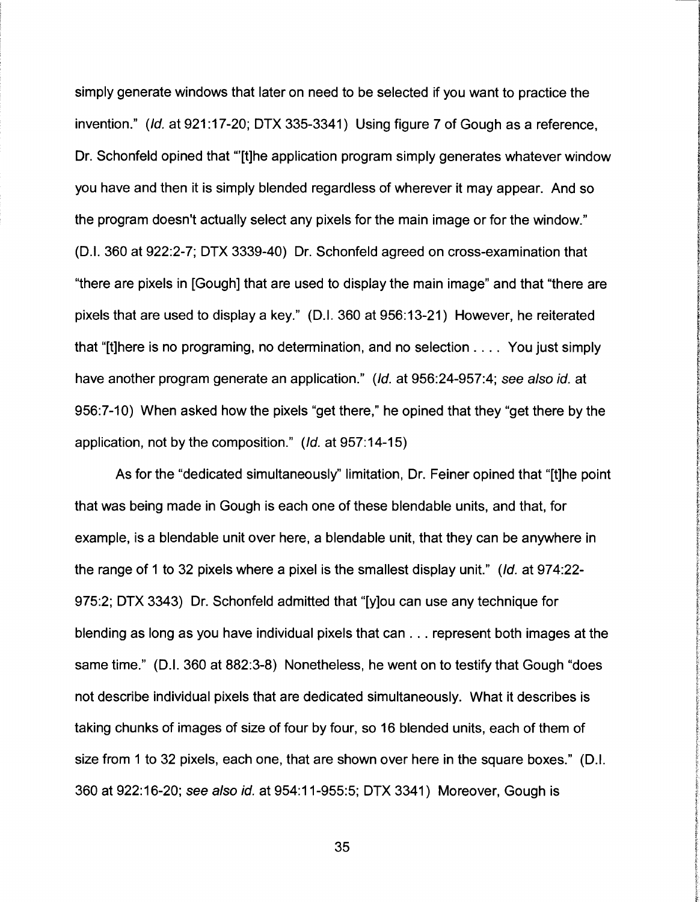simply generate windows that later on need to be selected if you want to practice the invention." (Id. at 921:17-20; DTX 335-3341) Using figure 7 of Gough as a reference, Dr. Schonfeld opined that "'[t]he application program simply generates whatever window you have and then it is simply blended regardless of wherever it may appear. And so the program doesn't actually select any pixels for the main image or for the window." (D.I. 360 at 922:2-7; DTX 3339-40) Dr. Schonfeld agreed on cross-examination that "there are pixels in [Gough] that are used to display the main image" and that "there are pixels that are used to display a key." (D.I. 360 at 956:13-21) However, he reiterated that "[t]here is no programing, no determination, and no selection . . . . You just simply have another program generate an application." (Id. at 956:24-957:4; see also id. at 956:7-10) When asked how the pixels "get there," he opined that they "get there by the application, not by the composition." (Id. at 957: 14-15)

As for the "dedicated simultaneously" limitation, Dr. Feiner opined that "[t]he point that was being made in Gough is each one of these blendable units, and that, for example, is a blendable unit over here, a blendable unit, that they can be anywhere in the range of 1 to 32 pixels where a pixel is the smallest display unit." (Id. at 974:22-975:2; DTX 3343) Dr. Schonfeld admitted that "[y]ou can use any technique for blending as long as you have individual pixels that can ... represent both images at the same time." (D.I. 360 at 882:3-8) Nonetheless, he went on to testify that Gough "does not describe individual pixels that are dedicated simultaneously. What it describes is taking chunks of images of size of four by four, so 16 blended units, each of them of size from 1 to 32 pixels, each one, that are shown over here in the square boxes." (D.I. 360 at 922: 16-20; see a/so id. at 954: 11-955:5; DTX 3341) Moreover, Gough is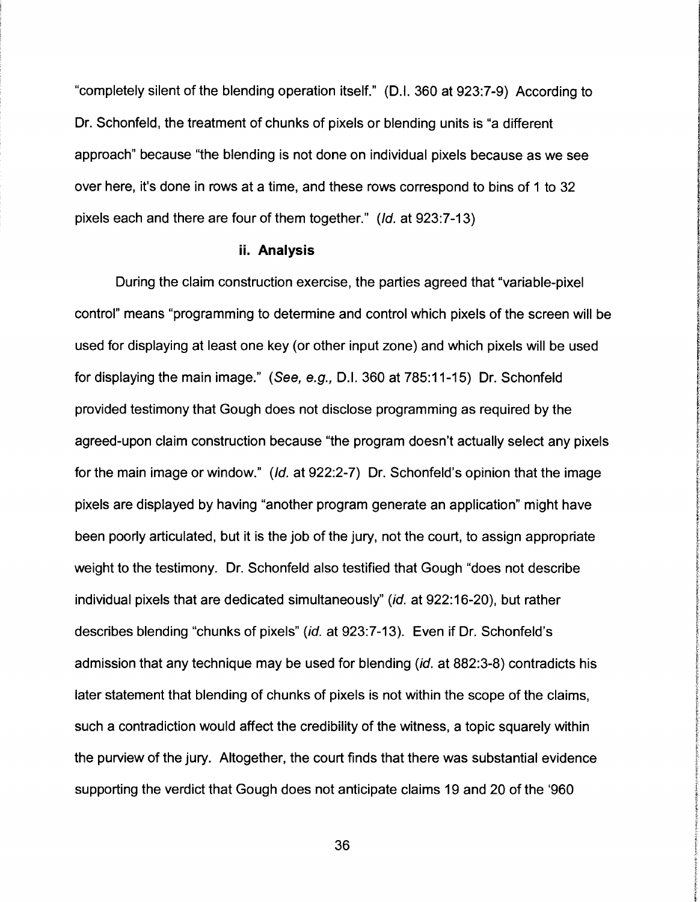"completely silent of the blending operation itself." (D.I. 360 at 923:7-9) According to Dr. Schonfeld, the treatment of chunks of pixels or blending units is "a different approach" because "the blending is not done on individual pixels because as we see over here, it's done in rows at a time, and these rows correspond to bins of 1 to 32 pixels each and there are four of them together." (Id. at 923:7-13)

#### **ii. Analysis**

During the claim construction exercise, the parties agreed that "variable-pixel control" means "programming to determine and control which pixels of the screen will be used for displaying at least one key (or other input zone) and which pixels will be used for displaying the main image." (See, e.g., D.I. 360 at 785:11-15) Dr. Schonfeld provided testimony that Gough does not disclose programming as required by the agreed-upon claim construction because "the program doesn't actually select any pixels for the main image or window." (Id. at 922:2-7) Dr. Schonfeld's opinion that the image pixels are displayed by having "another program generate an application" might have been poorly articulated, but it is the job of the jury, not the court, to assign appropriate weight to the testimony. Dr. Schonfeld also testified that Gough "does not describe individual pixels that are dedicated simultaneously" (id. at 922:16-20), but rather describes blending "chunks of pixels" (id. at 923:7-13). Even if Dr. Schonfeld's admission that any technique may be used for blending (id. at 882:3-8) contradicts his later statement that blending of chunks of pixels is not within the scope of the claims, such a contradiction would affect the credibility of the witness, a topic squarely within the purview of the jury. Altogether, the court finds that there was substantial evidence supporting the verdict that Gough does not anticipate claims 19 and 20 of the '960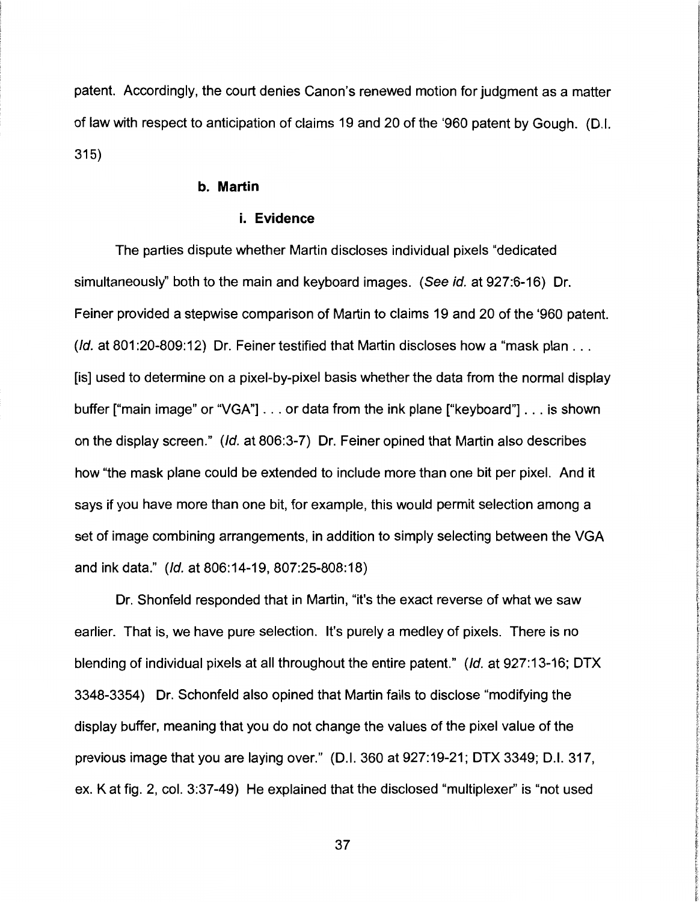patent. Accordingly, the court denies Canon's renewed motion for judgment as a matter of law with respect to anticipation of claims 19 and 20 of the '960 patent by Gough. (D.I. 315)

## **b. Martin**

#### **i. Evidence**

The parties dispute whether Martin discloses individual pixels "dedicated simultaneously'' both to the main and keyboard images. (See id. at 927:6-16) Dr. Feiner provided a stepwise comparison of Martin to claims 19 and 20 of the '960 patent. (*Id.* at 801:20-809:12) Dr. Feiner testified that Martin discloses how a "mask plan . . . [is] used to determine on a pixel-by-pixel basis whether the data from the normal display buffer ["main image" or "VGA"] ... or data from the ink plane ["keyboard"] ... is shown on the display screen." (Id. at 806:3-7) Dr. Feiner opined that Martin also describes how "the mask plane could be extended to include more than one bit per pixel. And it says if you have more than one bit, for example, this would permit selection among a set of image combining arrangements, in addition to simply selecting between the VGA and ink data." (Id. at 806:14-19, 807:25-808:18)

Dr. Shonfeld responded that in Martin, "it's the exact reverse of what we saw earlier. That is, we have pure selection. It's purely a medley of pixels. There is no blending of individual pixels at all throughout the entire patent." (Id. at 927:13-16; DTX 3348-3354) Dr. Schonfeld also opined that Martin fails to disclose "modifying the display buffer, meaning that you do not change the values of the pixel value of the previous image that you are laying over." (D.I. 360 at 927:19-21; DTX 3349; D.I. 317, ex. Kat fig. 2, col. 3:37-49) He explained that the disclosed "multiplexer" is "not used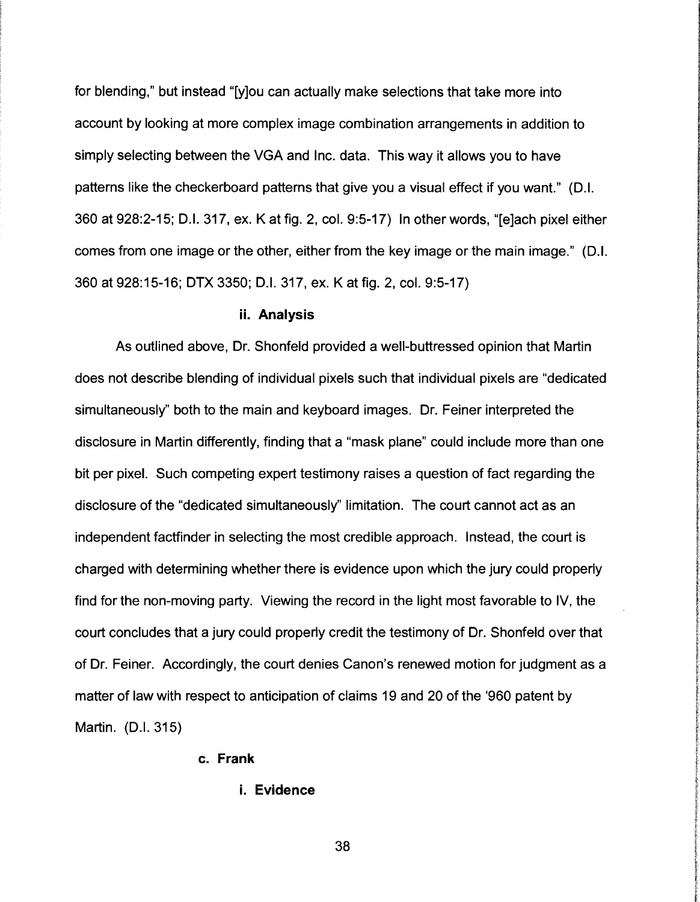for blending," but instead "[y]ou can actually make selections that take more into account by looking at more complex image combination arrangements in addition to simply selecting between the VGA and Inc. data. This way it allows you to have patterns like the checkerboard patterns that give you a visual effect if you want." (D.I. 360 at 928:2-15; D.I. 317, ex. Kat fig. 2, col. 9:5-17) In other words, "[e]ach pixel either comes from one image or the other, either from the key image or the main image." (D.I. 360 at 928:15-16; DTX 3350; D.I. 317, ex. Kat fig. 2, col. 9:5-17)

#### **ii. Analysis**

As outlined above, Dr. Shonfeld provided a well-buttressed opinion that Martin does not describe blending of individual pixels such that individual pixels are "dedicated simultaneously" both to the main and keyboard images. Dr. Feiner interpreted the disclosure in Martin differently, finding that a "mask plane" could include more than one bit per pixel. Such competing expert testimony raises a question of fact regarding the disclosure of the "dedicated simultaneously" limitation. The court cannot act as an independent factfinder in selecting the most credible approach. Instead, the court is charged with determining whether there is evidence upon which the jury could properly find for the non-moving party. Viewing the record in the light most favorable to IV, the court concludes that a jury could properly credit the testimony of Dr. Shonfeld over that of Dr. Feiner. Accordingly, the court denies Canon's renewed motion for judgment as a matter of law with respect to anticipation of claims 19 and 20 of the '960 patent by Martin. (D.I. 315)

## **c. Frank**

#### **i. Evidence**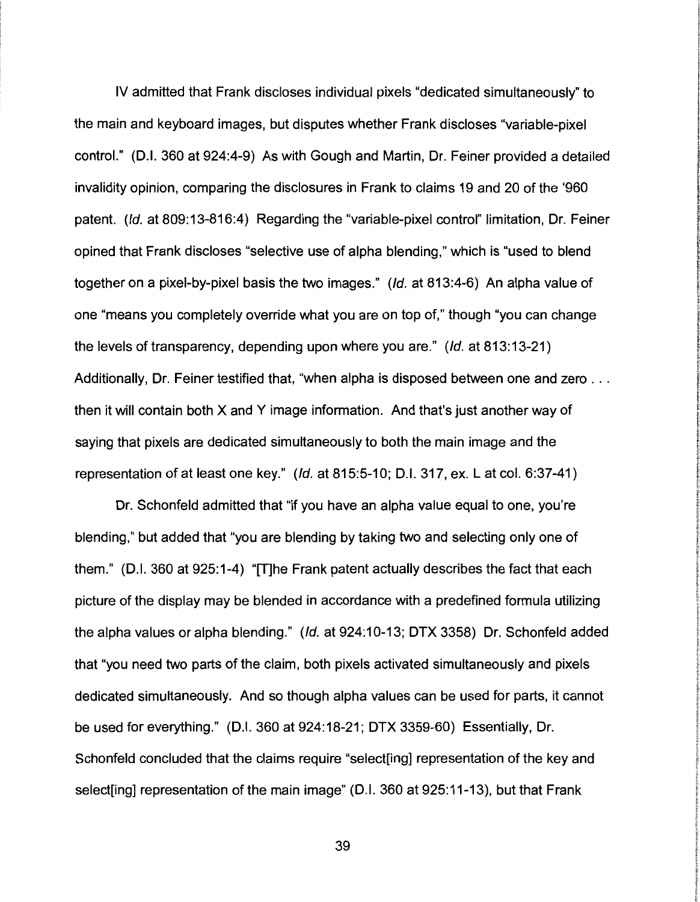IV admitted that Frank discloses individual pixels "dedicated simultaneously" to the main and keyboard images, but disputes whether Frank discloses "variable-pixel control." (D.I. 360 at 924:4-9) As with Gough and Martin, Dr. Feiner provided a detailed invalidity opinion, comparing the disclosures in Frank to claims 19 and 20 of the '960 patent. (Id. at 809:13-816:4) Regarding the "variable-pixel control" limitation, Dr. Feiner opined that Frank discloses "selective use of alpha blending," which is "used to blend together on a pixel-by-pixel basis the two images." (Id. at 813:4-6) An alpha value of one "means you completely override what you are on top of," though "you can change the levels of transparency, depending upon where you are." (Id. at 813:13-21) Additionally, Dr. Feiner testified that, "when alpha is disposed between one and zero ... then it will contain both X and Y image information. And that's just another way of saying that pixels are dedicated simultaneously to both the main image and the representation of at least one key." (Id. at 815:5-10; D.I. 317, ex.Lat col. 6:37-41)

Dr. Schonfeld admitted that "if you have an alpha value equal to one, you're blending," but added that "you are blending by taking two and selecting only one of them." (D.I. 360 at 925:1-4) "[T]he Frank patent actually describes the fact that each picture of the display may be blended in accordance with a predefined formula utilizing the alpha values or alpha blending." (Id. at 924:10-13; DTX 3358) Dr. Schonfeld added that "you need two parts of the claim, both pixels activated simultaneously and pixels dedicated simultaneously. And so though alpha values can be used for parts, it cannot be used for everything." (D.I. 360 at 924:18-21; DTX 3359-60) Essentially, Dr. Schonfeld concluded that the claims require "select[ing] representation of the key and select[ing] representation of the main image" (D.I. 360 at 925:11-13), but that Frank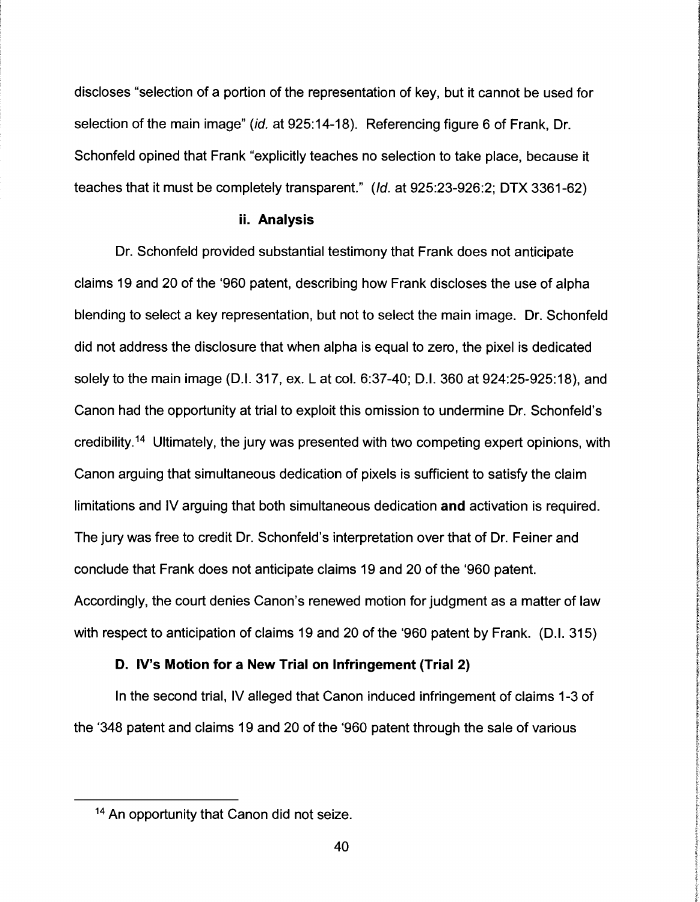discloses "selection of a portion of the representation of key, but it cannot be used for selection of the main image" (id. at 925:14-18). Referencing figure 6 of Frank, Dr. Schonfeld opined that Frank "explicitly teaches no selection to take place, because it teaches that it must be completely transparent." (Id. at 925:23-926:2; DTX 3361-62)

#### ii. Analysis

Dr. Schonfeld provided substantial testimony that Frank does not anticipate claims 19 and 20 of the '960 patent, describing how Frank discloses the use of alpha blending to select a key representation, but not to select the main image. Dr. Schonfeld did not address the disclosure that when alpha is equal to zero, the pixel is dedicated solely to the main image (D.I. 317, ex. L at col. 6:37-40; D.I. 360 at 924:25-925:18), and Canon had the opportunity at trial to exploit this omission to undermine Dr. Schonfeld's credibility.<sup>14</sup> Ultimately, the jury was presented with two competing expert opinions, with Canon arguing that simultaneous dedication of pixels is sufficient to satisfy the claim limitations and IV arguing that both simultaneous dedication and activation is required. The jury was free to credit Dr. Schonfeld's interpretation over that of Dr. Feiner and conclude that Frank does not anticipate claims 19 and 20 of the '960 patent. Accordingly, the court denies Canon's renewed motion for judgment as a matter of law with respect to anticipation of claims 19 and 20 of the '960 patent by Frank. (D.I. 315)

## D. IV's Motion for a New Trial on Infringement (Trial 2)

In the second trial, IV alleged that Canon induced infringement of claims 1-3 of the '348 patent and claims 19 and 20 of the '960 patent through the sale of various

<sup>&</sup>lt;sup>14</sup> An opportunity that Canon did not seize.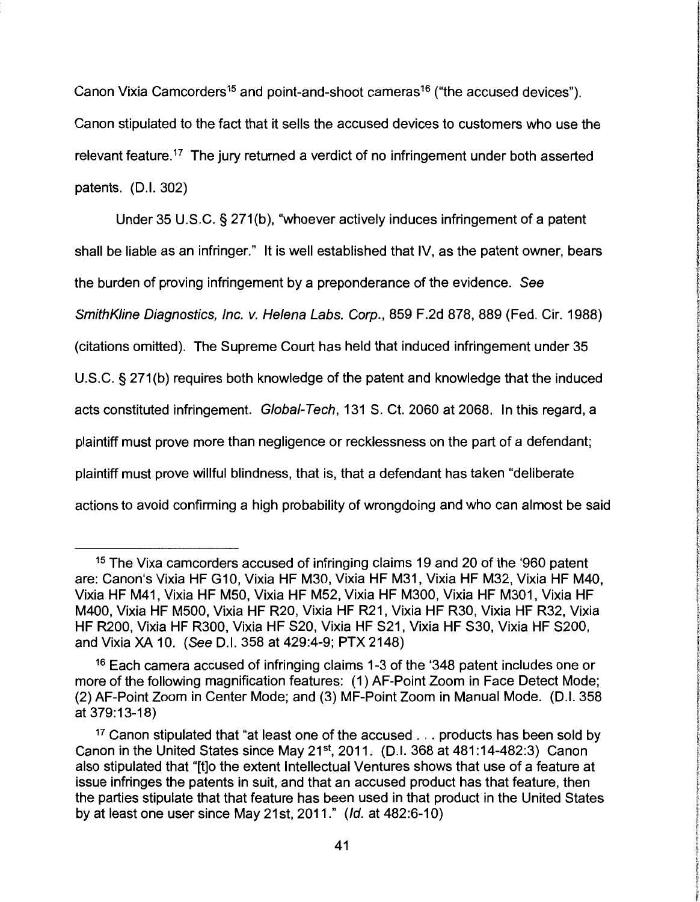Canon Vixia Camcorders<sup>15</sup> and point-and-shoot cameras<sup>16</sup> ("the accused devices"). Canon stipulated to the fact that it sells the accused devices to customers who use the relevant feature.<sup>17</sup> The jury returned a verdict of no infringement under both asserted patents. (D.I. 302)

Under 35 U.S.C. § 271(b), "whoever actively induces infringement of a patent shall be liable as an infringer." It is well established that IV, as the patent owner, bears the burden of proving infringement by a preponderance of the evidence. See SmithKline Diagnostics, Inc. v. Helena Labs. Corp., 859 F.2d 878, 889 (Fed. Cir. 1988) (citations omitted). The Supreme Court has held that induced infringement under 35 U.S.C. § 271 (b) requires both knowledge of the patent and knowledge that the induced acts constituted infringement. Global-Tech, 131 S. Ct. 2060 at 2068. In this regard, a plaintiff must prove more than negligence or recklessness on the part of a defendant; plaintiff must prove willful blindness, that is, that a defendant has taken "deliberate actions to avoid confirming a high probability of wrongdoing and who can almost be said

<sup>15</sup>The Vixa camcorders accused of infringing claims 19 and 20 of the '960 patent are: Canon's Vixia HF G10, Vixia HF M30, Vixia HF M31, Vixia HF M32, Vixia HF M40, Vixia HF M41, Vixia HF M50, Vixia HF M52, Vixia HF M300, Vixia HF M301, Vixia HF M400, Vixia HF M500, Vixia HF R20, Vixia HF R21, Vixia HF R30, Vixia HF R32, Vixia HF R200, Vixia HF R300, Vixia HF S20, Vixia HF S21, Vixia HF S30, Vixia HF S200, and Vixia XA 10. (See D.I. 358 at 429:4-9; PTX 2148)

<sup>&</sup>lt;sup>16</sup> Each camera accused of infringing claims 1-3 of the '348 patent includes one or more of the following magnification features: (1) AF-Point Zoom in Face Detect Mode; (2) AF-Point Zoom in Center Mode; and (3) MF-Point Zoom in Manual Mode. (D.I. 358 at 379:13-18)

<sup>&</sup>lt;sup>17</sup> Canon stipulated that "at least one of the accused  $\ldots$  products has been sold by Canon in the United States since May 21<sup>st</sup>, 2011. (D.I. 368 at  $481:14-482:3$ ) Canon also stipulated that "[t]o the extent Intellectual Ventures shows that use of a feature at issue infringes the patents in suit, and that an accused product has that feature, then the parties stipulate that that feature has been used in that product in the United States by at least one user since May 21st, 2011." (Id. at 482:6-10)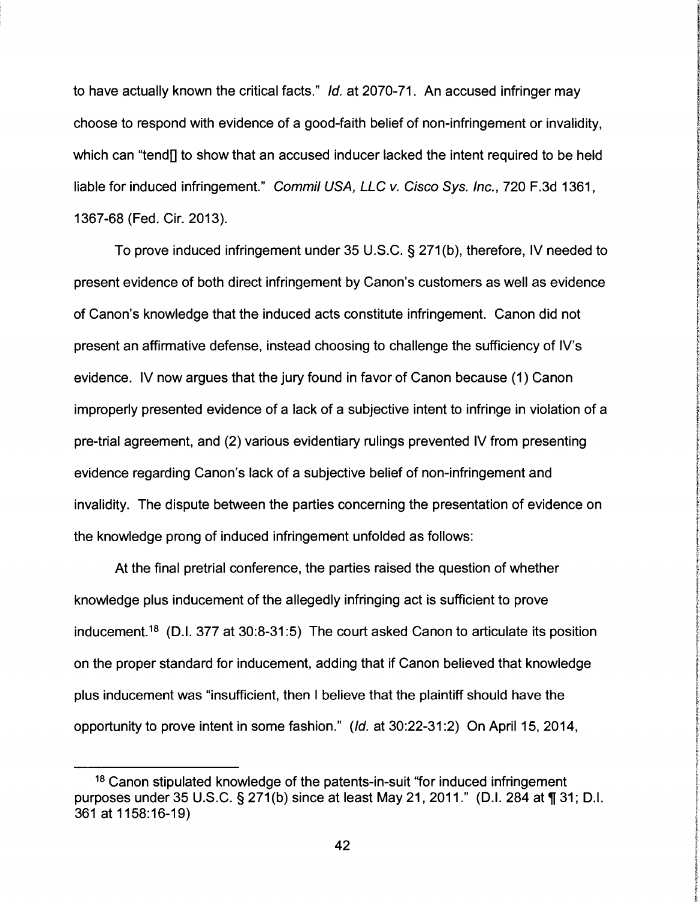to have actually known the critical facts." Id. at 2070-71. An accused infringer may choose to respond with evidence of a good-faith belief of non-infringement or invalidity, which can "tend] to show that an accused inducer lacked the intent required to be held liable for induced infringement." Commil USA, LLC v. Cisco Sys. Inc., 720 F.3d 1361, 1367-68 (Fed. Cir. 2013).

To prove induced infringement under 35 U.S.C. § 271(b), therefore, IV needed to present evidence of both direct infringement by Canon's customers as well as evidence of Canon's knowledge that the induced acts constitute infringement. Canon did not present an affirmative defense, instead choosing to challenge the sufficiency of IV's evidence. IV now argues that the jury found in favor of Canon because (1) Canon improperly presented evidence of a lack of a subjective intent to infringe in violation of a pre-trial agreement, and (2) various evidentiary rulings prevented IV from presenting evidence regarding Canon's lack of a subjective belief of non-infringement and invalidity. The dispute between the parties concerning the presentation of evidence on the knowledge prong of induced infringement unfolded as follows:

At the final pretrial conference, the parties raised the question of whether knowledge plus inducement of the allegedly infringing act is sufficient to prove inducement.<sup>18</sup> (D.I. 377 at 30:8-31:5) The court asked Canon to articulate its position on the proper standard for inducement, adding that if Canon believed that knowledge plus inducement was "insufficient, then I believe that the plaintiff should have the opportunity to prove intent in some fashion." (Id. at 30:22-31 :2) On April 15, 2014,

<sup>&</sup>lt;sup>18</sup> Canon stipulated knowledge of the patents-in-suit "for induced infringement purposes under 35 U.S.C. § 271(b) since at least May 21, 2011." (D.I. 284 at  $\P$  31; D.I. 361 at 1158: 16-19)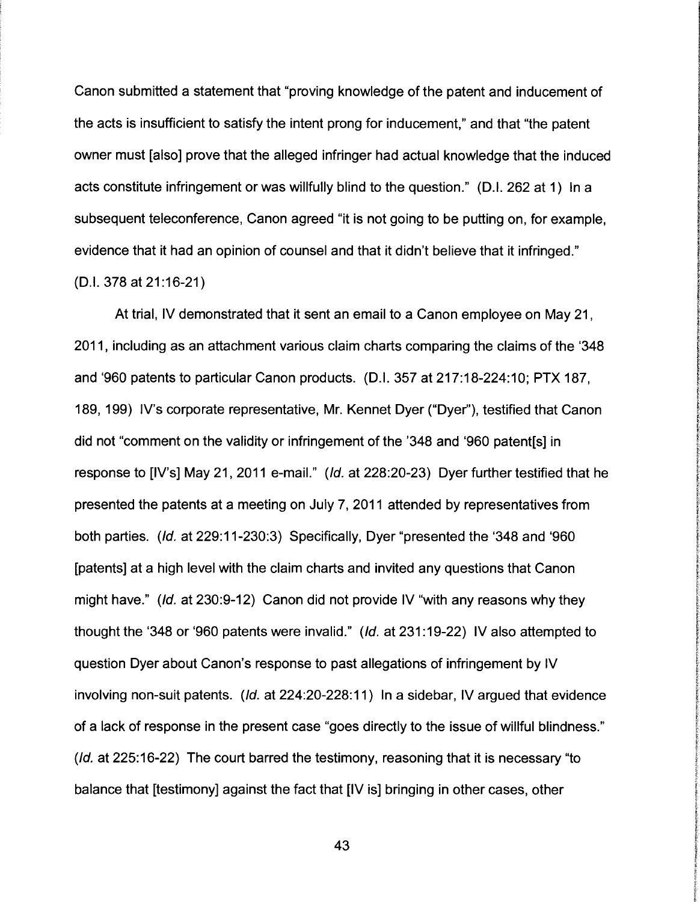Canon submitted a statement that "proving knowledge of the patent and inducement of the acts is insufficient to satisfy the intent prong for inducement," and that "the patent owner must [also] prove that the alleged infringer had actual knowledge that the induced acts constitute infringement or was willfully blind to the question." (D.I. 262 at 1) In a subsequent teleconference, Canon agreed "it is not going to be putting on, for example, evidence that it had an opinion of counsel and that it didn't believe that it infringed." (D.I. 378 at 21 :16-21)

At trial, IV demonstrated that it sent an email to a Canon employee on May 21, 2011, including as an attachment various claim charts comparing the claims of the '348 and '960 patents to particular Canon products. (D.I. 357 at 217:18-224:10; PTX 187, 189, 199) IV's corporate representative, Mr. Kennet Dyer ("Dyer"), testified that Canon did not "comment on the validity or infringement of the '348 and '960 patent[s] in response to [IV's] May 21, 2011 e-mail." (Id. at 228:20-23) Dyer further testified that he presented the patents at a meeting on July 7, 2011 attended by representatives from both parties. (Id. at 229:11-230:3) Specifically, Dyer "presented the '348 and '960 [patents] at a high level with the claim charts and invited any questions that Canon might have." (Id. at 230:9-12) Canon did not provide IV "with any reasons why they thought the '348 or '960 patents were invalid." (Id. at 231 :19-22) IV also attempted to question Dyer about Canon's response to past allegations of infringement by IV involving non-suit patents. (Id. at 224:20-228:11) In a sidebar, IV argued that evidence of a lack of response in the present case "goes directly to the issue of willful blindness." (Id. at 225:16-22) The court barred the testimony, reasoning that it is necessary "to balance that [testimony] against the fact that [IV is] bringing in other cases, other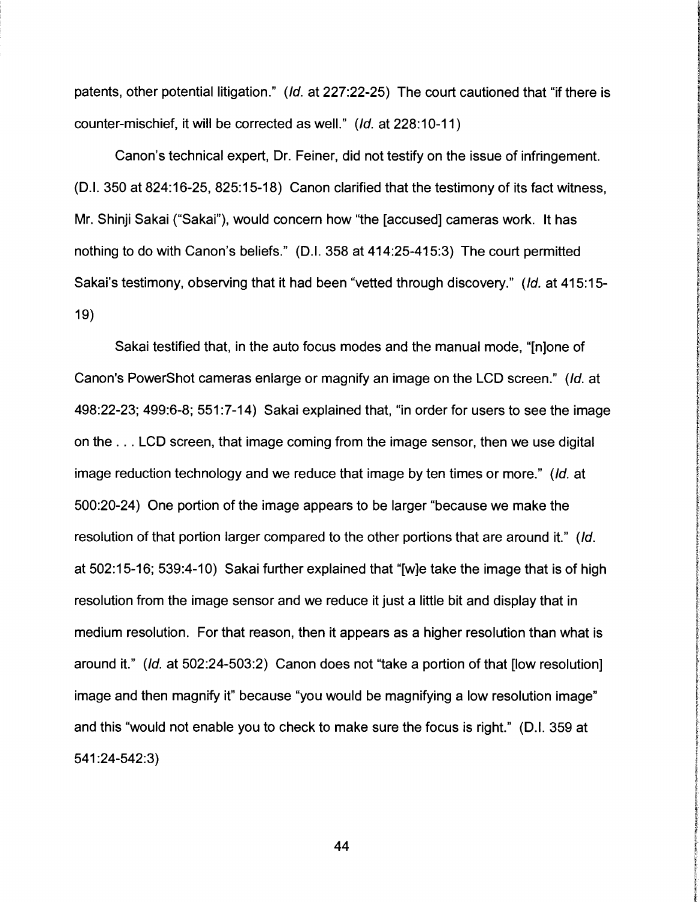patents, other potential litigation." (Id. at 227:22-25) The court cautioned that "if there is counter-mischief, it will be corrected as well." (Id. at 228:10-11)

Canon's technical expert, Dr. Feiner, did not testify on the issue of infringement. (D.I. 350 at 824:16-25, 825:15-18) Canon clarified that the testimony of its fact witness, Mr. Shinji Sakai ("Sakai"), would concern how "the [accused] cameras work. It has nothing to do with Canon's beliefs." (D.I. 358 at 414:25-415:3) The court permitted Sakai's testimony, observing that it had been "vetted through discovery." (Id. at 415:15- 19)

Sakai testified that, in the auto focus modes and the manual mode, "[n]one of Canon's PowerShot cameras enlarge or magnify an image on the LCD screen." (Id. at 498:22-23; 499:6-8; 551 :7-14) Sakai explained that, "in order for users to see the image on the ... LCD screen, that image coming from the image sensor, then we use digital image reduction technology and we reduce that image by ten times or more." (Id. at 500:20-24) One portion of the image appears to be larger "because we make the resolution of that portion larger compared to the other portions that are around it." (Id. at 502:15-16; 539:4-10) Sakai further explained that "[w]e take the image that is of high resolution from the image sensor and we reduce it just a little bit and display that in medium resolution. For that reason, then it appears as a higher resolution than what is around it." (Id. at 502:24-503:2) Canon does not "take a portion of that [low resolution] image and then magnify it" because "you would be magnifying a low resolution image" and this "would not enable you to check to make sure the focus is right." (D.I. 359 at 541 :24-542:3)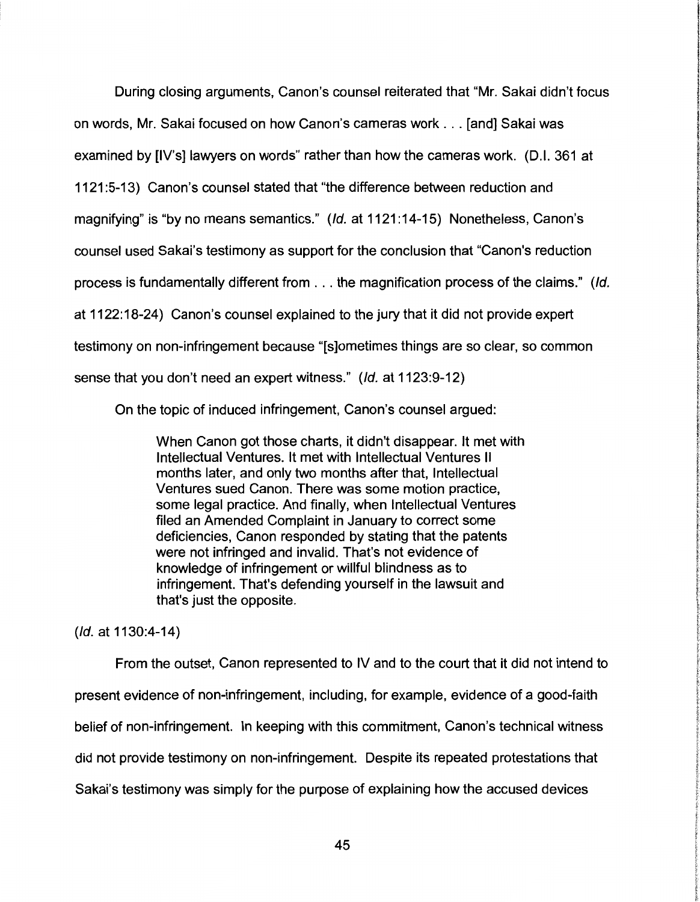During closing arguments, Canon's counsel reiterated that "Mr. Sakai didn't focus on words, Mr. Sakai focused on how Canon's cameras work ... [and] Sakai was examined by [IV's] lawyers on words" rather than how the cameras work. (D.I. 361 at 1121 :5-13) Canon's counsel stated that "the difference between reduction and magnifying" is "by no means semantics." (Id. at 1121 :14-15) Nonetheless, Canon's counsel used Sakai's testimony as support for the conclusion that "Canon's reduction process is fundamentally different from ... the magnification process of the claims." (Id. at 1122: 18-24) Canon's counsel explained to the jury that it did not provide expert testimony on non-infringement because "[s]ometimes things are so clear, so common sense that you don't need an expert witness." (Id. at 1123:9-12)

On the topic of induced infringement, Canon's counsel argued:

When Canon got those charts, it didn't disappear. It met with Intellectual Ventures. It met with Intellectual Ventures II months later, and only two months after that, Intellectual Ventures sued Canon. There was some motion practice, some legal practice. And finally, when Intellectual Ventures filed an Amended Complaint in January to correct some deficiencies, Canon responded by stating that the patents were not infringed and invalid. That's not evidence of knowledge of infringement or willful blindness as to infringement. That's defending yourself in the lawsuit and that's just the opposite.

(Id. at 1130:4-14)

From the outset, Canon represented to IV and to the court that it did not intend to present evidence of non-infringement, including, for example, evidence of a good-faith belief of non-infringement. In keeping with this commitment, Canon's technical witness did not provide testimony on non-infringement. Despite its repeated protestations that Sakai's testimony was simply for the purpose of explaining how the accused devices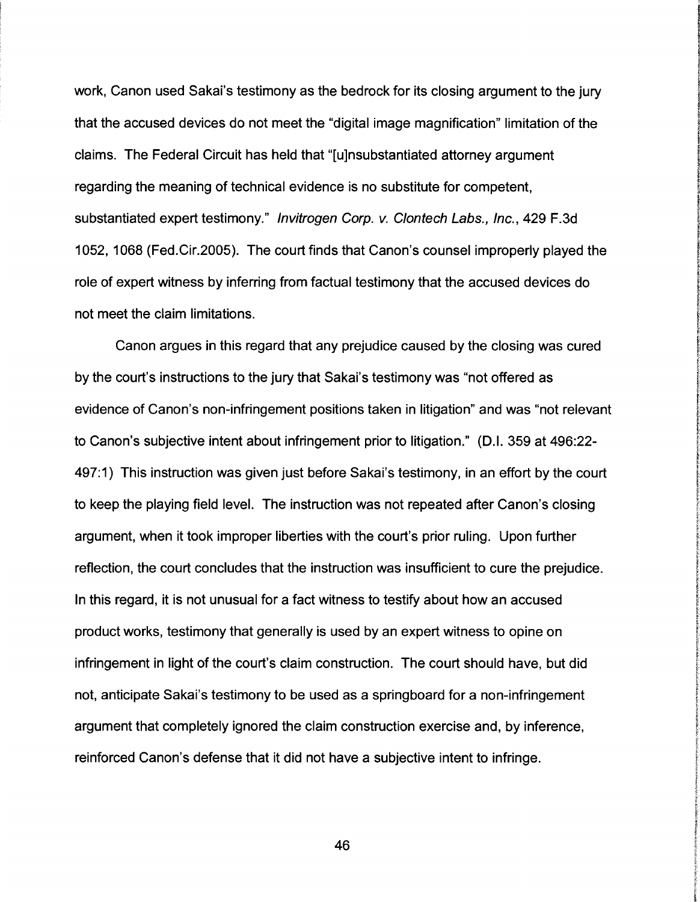work, Canon used Sakai's testimony as the bedrock for its closing argument to the jury that the accused devices do not meet the "digital image magnification" limitation of the claims. The Federal Circuit has held that "[u]nsubstantiated attorney argument regarding the meaning of technical evidence is no substitute for competent, substantiated expert testimony." lnvitrogen Corp. v. Clontech Labs., Inc., 429 F.3d 1052, 1068 (Fed.Cir.2005). The court finds that Canon's counsel improperly played the role of expert witness by inferring from factual testimony that the accused devices do not meet the claim limitations.

Canon argues in this regard that any prejudice caused by the closing was cured by the court's instructions to the jury that Sakai's testimony was "not offered as evidence of Canon's non-infringement positions taken in litigation" and was "not relevant to Canon's subjective intent about infringement prior to litigation." (D.I. 359 at 496:22- 497:1) This instruction was given just before Sakai's testimony, in an effort by the court to keep the playing field level. The instruction was not repeated after Canon's closing argument, when it took improper liberties with the court's prior ruling. Upon further reflection, the court concludes that the instruction was insufficient to cure the prejudice. In this regard, it is not unusual for a fact witness to testify about how an accused product works, testimony that generally is used by an expert witness to opine on infringement in light of the court's claim construction. The court should have, but did not, anticipate Sakai's testimony to be used as a springboard for a non-infringement argument that completely ignored the claim construction exercise and, by inference, reinforced Canon's defense that it did not have a subjective intent to infringe.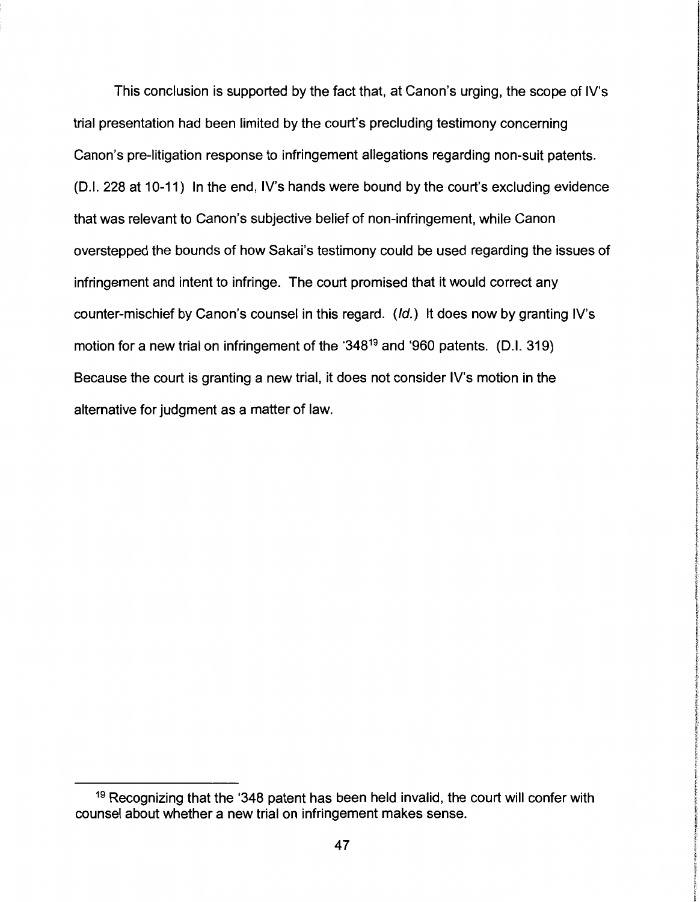This conclusion is supported by the fact that, at Canon's urging, the scope of IV's trial presentation had been limited by the court's precluding testimony concerning Canon's pre-litigation response to infringement allegations regarding non-suit patents. (D.I. 228 at 10-11) In the end, IV's hands were bound by the court's excluding evidence that was relevant to Canon's subjective belief of non-infringement, while Canon overstepped the bounds of how Sakai's testimony could be used regarding the issues of infringement and intent to infringe. The court promised that it would correct any counter-mischief by Canon's counsel in this regard. (Id.) It does now by granting IV's motion for a new trial on infringement of the '34819 and '960 patents. (D.I. 319) Because the court is granting a new trial, it does not consider IV's motion in the alternative for judgment as a matter of law.

<sup>&</sup>lt;sup>19</sup> Recognizing that the '348 patent has been held invalid, the court will confer with counsel about whether a new trial on infringement makes sense.